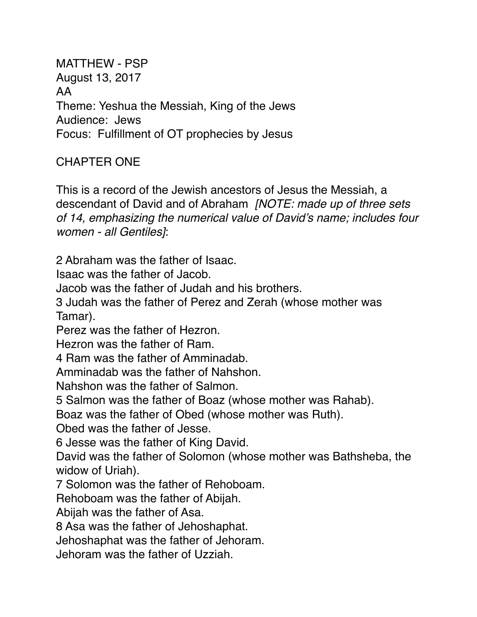MATTHEW - PSP August 13, 2017 AA Theme: Yeshua the Messiah, King of the Jews Audience: Jews Focus: Fulfillment of OT prophecies by Jesus

# CHAPTER ONE

This is a record of the Jewish ancestors of Jesus the Messiah, a descendant of David and of Abraham *[NOTE: made up of three sets of 14, emphasizing the numerical value of David's name; includes four women - all Gentiles]*:

2 Abraham was the father of Isaac.

Isaac was the father of Jacob.

Jacob was the father of Judah and his brothers.

3 Judah was the father of Perez and Zerah (whose mother was Tamar).

Perez was the father of Hezron.

Hezron was the father of Ram.

4 Ram was the father of Amminadab.

Amminadab was the father of Nahshon.

Nahshon was the father of Salmon.

5 Salmon was the father of Boaz (whose mother was Rahab).

Boaz was the father of Obed (whose mother was Ruth).

Obed was the father of Jesse.

6 Jesse was the father of King David.

David was the father of Solomon (whose mother was Bathsheba, the widow of Uriah).

7 Solomon was the father of Rehoboam.

Rehoboam was the father of Abijah.

Abijah was the father of Asa.

8 Asa was the father of Jehoshaphat.

Jehoshaphat was the father of Jehoram.

Jehoram was the father of Uzziah.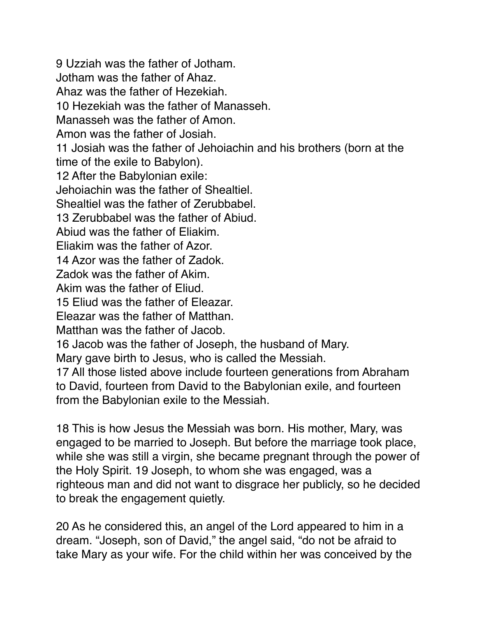9 Uzziah was the father of Jotham. Jotham was the father of Ahaz. Ahaz was the father of Hezekiah. 10 Hezekiah was the father of Manasseh. Manasseh was the father of Amon. Amon was the father of Josiah. 11 Josiah was the father of Jehoiachin and his brothers (born at the time of the exile to Babylon). 12 After the Babylonian exile: Jehoiachin was the father of Shealtiel. Shealtiel was the father of Zerubbabel. 13 Zerubbabel was the father of Abiud. Abiud was the father of Eliakim. Eliakim was the father of Azor. 14 Azor was the father of Zadok. Zadok was the father of Akim. Akim was the father of Eliud. 15 Eliud was the father of Eleazar. Eleazar was the father of Matthan. Matthan was the father of Jacob. 16 Jacob was the father of Joseph, the husband of Mary. Mary gave birth to Jesus, who is called the Messiah. 17 All those listed above include fourteen generations from Abraham to David, fourteen from David to the Babylonian exile, and fourteen from the Babylonian exile to the Messiah.

18 This is how Jesus the Messiah was born. His mother, Mary, was engaged to be married to Joseph. But before the marriage took place, while she was still a virgin, she became pregnant through the power of the Holy Spirit. 19 Joseph, to whom she was engaged, was a righteous man and did not want to disgrace her publicly, so he decided to break the engagement quietly.

20 As he considered this, an angel of the Lord appeared to him in a dream. "Joseph, son of David," the angel said, "do not be afraid to take Mary as your wife. For the child within her was conceived by the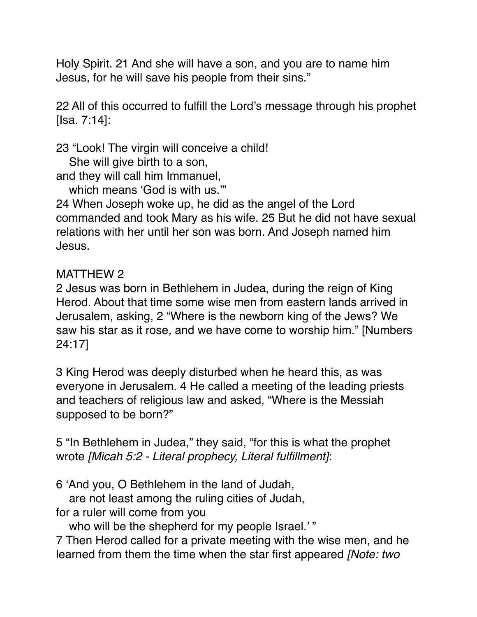Holy Spirit. 21 And she will have a son, and you are to name him Jesus, for he will save his people from their sins."

22 All of this occurred to fulfill the Lord's message through his prophet [Isa. 7:14]:

23 "Look! The virgin will conceive a child!

She will give birth to a son,

and they will call him Immanuel,

which means 'God is with us.""

24 When Joseph woke up, he did as the angel of the Lord commanded and took Mary as his wife. 25 But he did not have sexual relations with her until her son was born. And Joseph named him Jesus.

### MATTHEW 2

2 Jesus was born in Bethlehem in Judea, during the reign of King Herod. About that time some wise men from eastern lands arrived in Jerusalem, asking, 2 "Where is the newborn king of the Jews? We saw his star as it rose, and we have come to worship him." [Numbers 24:17]

3 King Herod was deeply disturbed when he heard this, as was everyone in Jerusalem. 4 He called a meeting of the leading priests and teachers of religious law and asked, "Where is the Messiah supposed to be born?"

5 "In Bethlehem in Judea," they said, "for this is what the prophet wrote *[Micah 5:2 - Literal prophecy, Literal fulfillment]*:

6 'And you, O Bethlehem in the land of Judah,

are not least among the ruling cities of Judah,

for a ruler will come from you

who will be the shepherd for my people Israel.'"

7 Then Herod called for a private meeting with the wise men, and he learned from them the time when the star first appeared *[Note: two*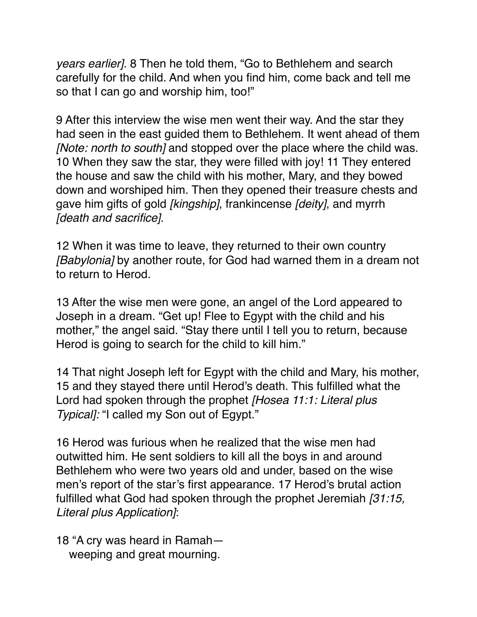*years earlier]*. 8 Then he told them, "Go to Bethlehem and search carefully for the child. And when you find him, come back and tell me so that I can go and worship him, too!"

9 After this interview the wise men went their way. And the star they had seen in the east guided them to Bethlehem. It went ahead of them *[Note: north to south]* and stopped over the place where the child was. 10 When they saw the star, they were filled with joy! 11 They entered the house and saw the child with his mother, Mary, and they bowed down and worshiped him. Then they opened their treasure chests and gave him gifts of gold *[kingship]*, frankincense *[deity]*, and myrrh *[death and sacrifice]*.

12 When it was time to leave, they returned to their own country *[Babylonia]* by another route, for God had warned them in a dream not to return to Herod.

13 After the wise men were gone, an angel of the Lord appeared to Joseph in a dream. "Get up! Flee to Egypt with the child and his mother," the angel said. "Stay there until I tell you to return, because Herod is going to search for the child to kill him."

14 That night Joseph left for Egypt with the child and Mary, his mother, 15 and they stayed there until Herod's death. This fulfilled what the Lord had spoken through the prophet *[Hosea 11:1: Literal plus Typical]:* "I called my Son out of Egypt."

16 Herod was furious when he realized that the wise men had outwitted him. He sent soldiers to kill all the boys in and around Bethlehem who were two years old and under, based on the wise men's report of the star's first appearance. 17 Herod's brutal action fulfilled what God had spoken through the prophet Jeremiah *[31:15, Literal plus Application]*:

18 "A cry was heard in Ramah weeping and great mourning.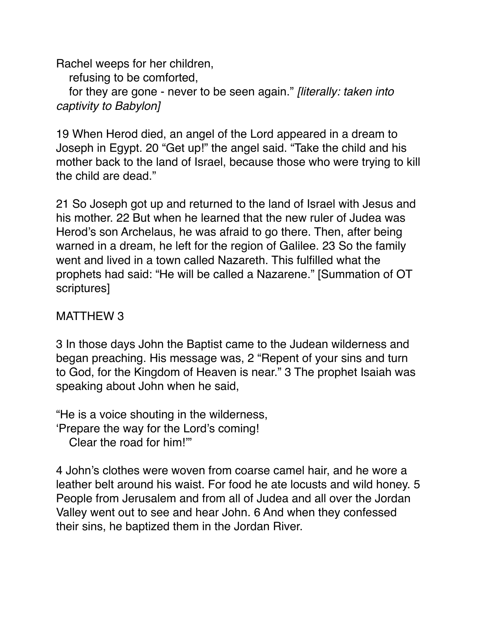Rachel weeps for her children, refusing to be comforted, for they are gone - never to be seen again." *[literally: taken into captivity to Babylon]*

19 When Herod died, an angel of the Lord appeared in a dream to Joseph in Egypt. 20 "Get up!" the angel said. "Take the child and his mother back to the land of Israel, because those who were trying to kill the child are dead."

21 So Joseph got up and returned to the land of Israel with Jesus and his mother. 22 But when he learned that the new ruler of Judea was Herod's son Archelaus, he was afraid to go there. Then, after being warned in a dream, he left for the region of Galilee. 23 So the family went and lived in a town called Nazareth. This fulfilled what the prophets had said: "He will be called a Nazarene." [Summation of OT scriptures]

### MATTHEW 3

3 In those days John the Baptist came to the Judean wilderness and began preaching. His message was, 2 "Repent of your sins and turn to God, for the Kingdom of Heaven is near." 3 The prophet Isaiah was speaking about John when he said,

"He is a voice shouting in the wilderness,

'Prepare the way for the Lord's coming!

Clear the road for him!'"

4 John's clothes were woven from coarse camel hair, and he wore a leather belt around his waist. For food he ate locusts and wild honey. 5 People from Jerusalem and from all of Judea and all over the Jordan Valley went out to see and hear John. 6 And when they confessed their sins, he baptized them in the Jordan River.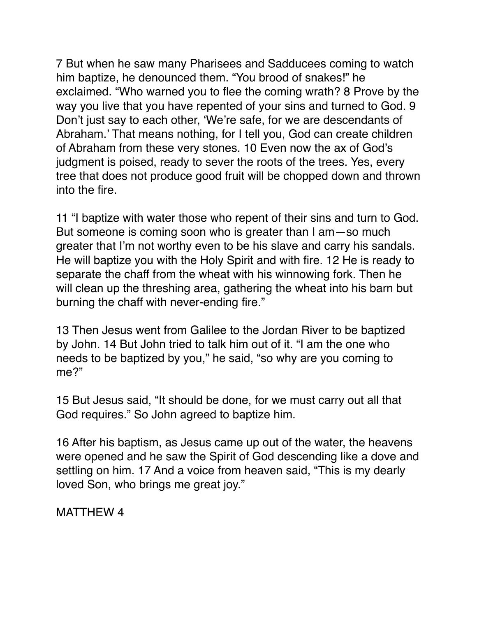7 But when he saw many Pharisees and Sadducees coming to watch him baptize, he denounced them. "You brood of snakes!" he exclaimed. "Who warned you to flee the coming wrath? 8 Prove by the way you live that you have repented of your sins and turned to God. 9 Don't just say to each other, 'We're safe, for we are descendants of Abraham.' That means nothing, for I tell you, God can create children of Abraham from these very stones. 10 Even now the ax of God's judgment is poised, ready to sever the roots of the trees. Yes, every tree that does not produce good fruit will be chopped down and thrown into the fire.

11 "I baptize with water those who repent of their sins and turn to God. But someone is coming soon who is greater than I am—so much greater that I'm not worthy even to be his slave and carry his sandals. He will baptize you with the Holy Spirit and with fire. 12 He is ready to separate the chaff from the wheat with his winnowing fork. Then he will clean up the threshing area, gathering the wheat into his barn but burning the chaff with never-ending fire."

13 Then Jesus went from Galilee to the Jordan River to be baptized by John. 14 But John tried to talk him out of it. "I am the one who needs to be baptized by you," he said, "so why are you coming to me?"

15 But Jesus said, "It should be done, for we must carry out all that God requires." So John agreed to baptize him.

16 After his baptism, as Jesus came up out of the water, the heavens were opened and he saw the Spirit of God descending like a dove and settling on him. 17 And a voice from heaven said, "This is my dearly loved Son, who brings me great joy."

MATTHEW 4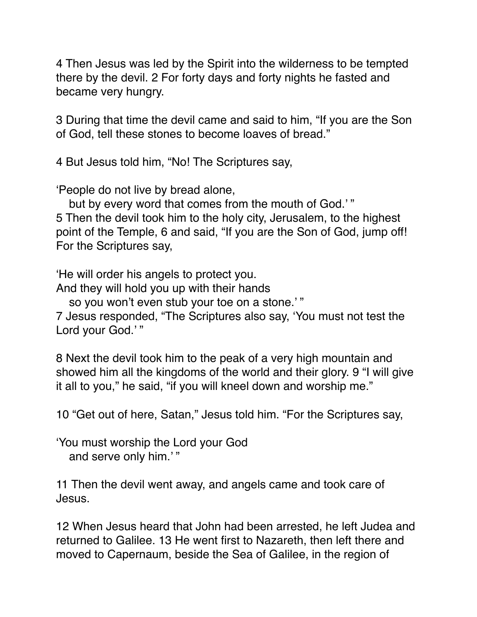4 Then Jesus was led by the Spirit into the wilderness to be tempted there by the devil. 2 For forty days and forty nights he fasted and became very hungry.

3 During that time the devil came and said to him, "If you are the Son of God, tell these stones to become loaves of bread."

4 But Jesus told him, "No! The Scriptures say,

'People do not live by bread alone,

but by every word that comes from the mouth of God.'" 5 Then the devil took him to the holy city, Jerusalem, to the highest point of the Temple, 6 and said, "If you are the Son of God, jump off! For the Scriptures say,

'He will order his angels to protect you.

And they will hold you up with their hands

so you won't even stub your toe on a stone.' "

7 Jesus responded, "The Scriptures also say, 'You must not test the Lord your God.'"

8 Next the devil took him to the peak of a very high mountain and showed him all the kingdoms of the world and their glory. 9 "I will give it all to you," he said, "if you will kneel down and worship me."

10 "Get out of here, Satan," Jesus told him. "For the Scriptures say,

'You must worship the Lord your God and serve only him.' "

11 Then the devil went away, and angels came and took care of Jesus.

12 When Jesus heard that John had been arrested, he left Judea and returned to Galilee. 13 He went first to Nazareth, then left there and moved to Capernaum, beside the Sea of Galilee, in the region of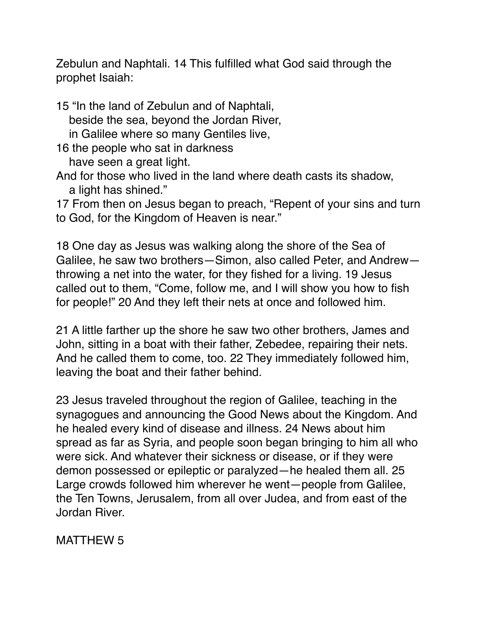Zebulun and Naphtali. 14 This fulfilled what God said through the prophet Isaiah:

15 "In the land of Zebulun and of Naphtali, beside the sea, beyond the Jordan River, in Galilee where so many Gentiles live, 16 the people who sat in darkness have seen a great light.

And for those who lived in the land where death casts its shadow, a light has shined."

17 From then on Jesus began to preach, "Repent of your sins and turn to God, for the Kingdom of Heaven is near."

18 One day as Jesus was walking along the shore of the Sea of Galilee, he saw two brothers—Simon, also called Peter, and Andrew throwing a net into the water, for they fished for a living. 19 Jesus called out to them, "Come, follow me, and I will show you how to fish for people!" 20 And they left their nets at once and followed him.

21 A little farther up the shore he saw two other brothers, James and John, sitting in a boat with their father, Zebedee, repairing their nets. And he called them to come, too. 22 They immediately followed him, leaving the boat and their father behind.

23 Jesus traveled throughout the region of Galilee, teaching in the synagogues and announcing the Good News about the Kingdom. And he healed every kind of disease and illness. 24 News about him spread as far as Syria, and people soon began bringing to him all who were sick. And whatever their sickness or disease, or if they were demon possessed or epileptic or paralyzed—he healed them all. 25 Large crowds followed him wherever he went—people from Galilee, the Ten Towns, Jerusalem, from all over Judea, and from east of the Jordan River.

MATTHEW 5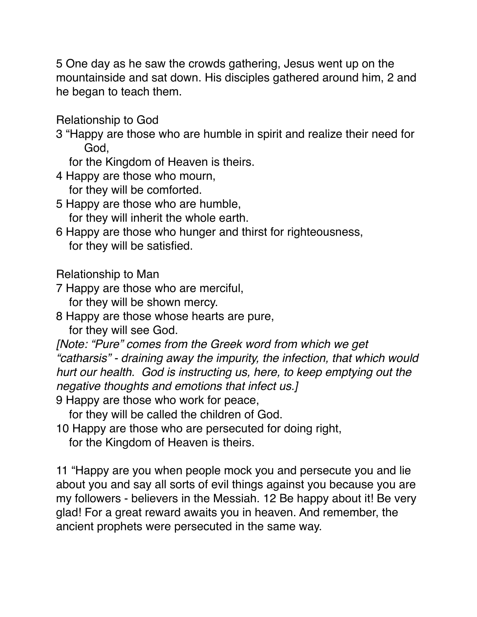5 One day as he saw the crowds gathering, Jesus went up on the mountainside and sat down. His disciples gathered around him, 2 and he began to teach them.

Relationship to God

- 3 "Happy are those who are humble in spirit and realize their need for God,
	- for the Kingdom of Heaven is theirs.

4 Happy are those who mourn,

for they will be comforted.

- 5 Happy are those who are humble, for they will inherit the whole earth.
- 6 Happy are those who hunger and thirst for righteousness, for they will be satisfied.

Relationship to Man

7 Happy are those who are merciful,

for they will be shown mercy.

8 Happy are those whose hearts are pure,

for they will see God.

*[Note: "Pure" comes from the Greek word from which we get "catharsis" - draining away the impurity, the infection, that which would hurt our health. God is instructing us, here, to keep emptying out the negative thoughts and emotions that infect us.]*

9 Happy are those who work for peace,

for they will be called the children of God.

10 Happy are those who are persecuted for doing right,

for the Kingdom of Heaven is theirs.

11 "Happy are you when people mock you and persecute you and lie about you and say all sorts of evil things against you because you are my followers - believers in the Messiah. 12 Be happy about it! Be very glad! For a great reward awaits you in heaven. And remember, the ancient prophets were persecuted in the same way.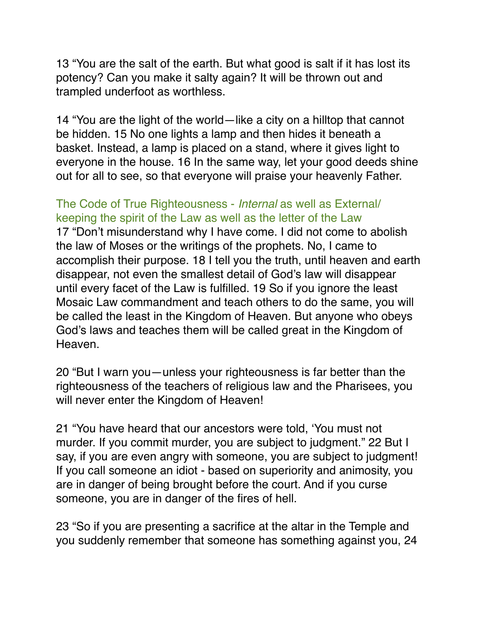13 "You are the salt of the earth. But what good is salt if it has lost its potency? Can you make it salty again? It will be thrown out and trampled underfoot as worthless.

14 "You are the light of the world—like a city on a hilltop that cannot be hidden. 15 No one lights a lamp and then hides it beneath a basket. Instead, a lamp is placed on a stand, where it gives light to everyone in the house. 16 In the same way, let your good deeds shine out for all to see, so that everyone will praise your heavenly Father.

### The Code of True Righteousness - *Internal* as well as External/ keeping the spirit of the Law as well as the letter of the Law

17 "Don't misunderstand why I have come. I did not come to abolish the law of Moses or the writings of the prophets. No, I came to accomplish their purpose. 18 I tell you the truth, until heaven and earth disappear, not even the smallest detail of God's law will disappear until every facet of the Law is fulfilled. 19 So if you ignore the least Mosaic Law commandment and teach others to do the same, you will be called the least in the Kingdom of Heaven. But anyone who obeys God's laws and teaches them will be called great in the Kingdom of Heaven.

20 "But I warn you—unless your righteousness is far better than the righteousness of the teachers of religious law and the Pharisees, you will never enter the Kingdom of Heaven!

21 "You have heard that our ancestors were told, 'You must not murder. If you commit murder, you are subject to judgment." 22 But I say, if you are even angry with someone, you are subject to judgment! If you call someone an idiot - based on superiority and animosity, you are in danger of being brought before the court. And if you curse someone, you are in danger of the fires of hell.

23 "So if you are presenting a sacrifice at the altar in the Temple and you suddenly remember that someone has something against you, 24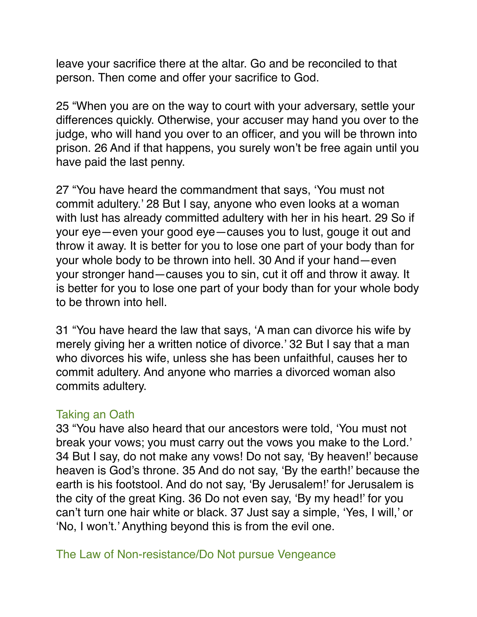leave your sacrifice there at the altar. Go and be reconciled to that person. Then come and offer your sacrifice to God.

25 "When you are on the way to court with your adversary, settle your differences quickly. Otherwise, your accuser may hand you over to the judge, who will hand you over to an officer, and you will be thrown into prison. 26 And if that happens, you surely won't be free again until you have paid the last penny.

27 "You have heard the commandment that says, 'You must not commit adultery.' 28 But I say, anyone who even looks at a woman with lust has already committed adultery with her in his heart. 29 So if your eye—even your good eye—causes you to lust, gouge it out and throw it away. It is better for you to lose one part of your body than for your whole body to be thrown into hell. 30 And if your hand—even your stronger hand—causes you to sin, cut it off and throw it away. It is better for you to lose one part of your body than for your whole body to be thrown into hell.

31 "You have heard the law that says, 'A man can divorce his wife by merely giving her a written notice of divorce.' 32 But I say that a man who divorces his wife, unless she has been unfaithful, causes her to commit adultery. And anyone who marries a divorced woman also commits adultery.

### Taking an Oath

33 "You have also heard that our ancestors were told, 'You must not break your vows; you must carry out the vows you make to the Lord.' 34 But I say, do not make any vows! Do not say, 'By heaven!' because heaven is God's throne. 35 And do not say, 'By the earth!' because the earth is his footstool. And do not say, 'By Jerusalem!' for Jerusalem is the city of the great King. 36 Do not even say, 'By my head!' for you can't turn one hair white or black. 37 Just say a simple, 'Yes, I will,' or 'No, I won't.' Anything beyond this is from the evil one.

The Law of Non-resistance/Do Not pursue Vengeance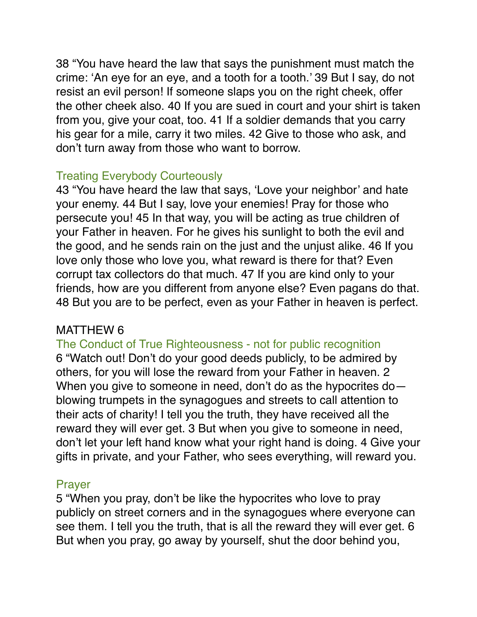38 "You have heard the law that says the punishment must match the crime: 'An eye for an eye, and a tooth for a tooth.' 39 But I say, do not resist an evil person! If someone slaps you on the right cheek, offer the other cheek also. 40 If you are sued in court and your shirt is taken from you, give your coat, too. 41 If a soldier demands that you carry his gear for a mile, carry it two miles. 42 Give to those who ask, and don't turn away from those who want to borrow.

### Treating Everybody Courteously

43 "You have heard the law that says, 'Love your neighbor' and hate your enemy. 44 But I say, love your enemies! Pray for those who persecute you! 45 In that way, you will be acting as true children of your Father in heaven. For he gives his sunlight to both the evil and the good, and he sends rain on the just and the unjust alike. 46 If you love only those who love you, what reward is there for that? Even corrupt tax collectors do that much. 47 If you are kind only to your friends, how are you different from anyone else? Even pagans do that. 48 But you are to be perfect, even as your Father in heaven is perfect.

### MATTHEW 6

The Conduct of True Righteousness - not for public recognition 6 "Watch out! Don't do your good deeds publicly, to be admired by others, for you will lose the reward from your Father in heaven. 2 When you give to someone in need, don't do as the hypocrites doblowing trumpets in the synagogues and streets to call attention to their acts of charity! I tell you the truth, they have received all the reward they will ever get. 3 But when you give to someone in need, don't let your left hand know what your right hand is doing. 4 Give your gifts in private, and your Father, who sees everything, will reward you.

### Prayer

5 "When you pray, don't be like the hypocrites who love to pray publicly on street corners and in the synagogues where everyone can see them. I tell you the truth, that is all the reward they will ever get. 6 But when you pray, go away by yourself, shut the door behind you,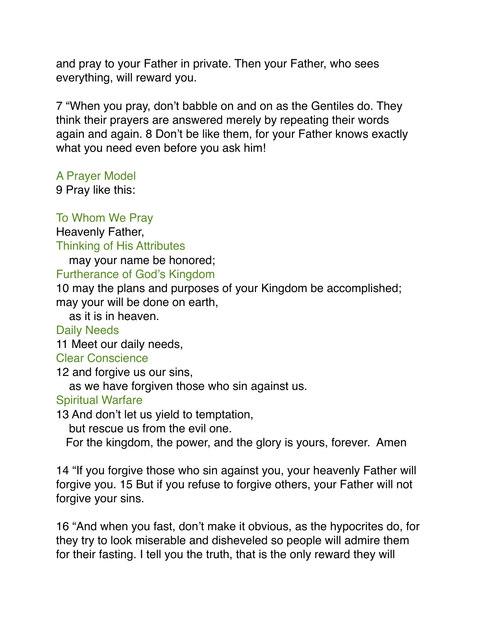and pray to your Father in private. Then your Father, who sees everything, will reward you.

7 "When you pray, don't babble on and on as the Gentiles do. They think their prayers are answered merely by repeating their words again and again. 8 Don't be like them, for your Father knows exactly what you need even before you ask him!

A Prayer Model

9 Pray like this:

#### To Whom We Pray

Heavenly Father,

Thinking of His Attributes

may your name be honored;

#### Furtherance of God's Kingdom

10 may the plans and purposes of your Kingdom be accomplished; may your will be done on earth,

as it is in heaven.

### Daily Needs

11 Meet our daily needs,

#### Clear Conscience

12 and forgive us our sins,

as we have forgiven those who sin against us.

### Spiritual Warfare

13 And don't let us yield to temptation,

but rescue us from the evil one.

For the kingdom, the power, and the glory is yours, forever. Amen

14 "If you forgive those who sin against you, your heavenly Father will forgive you. 15 But if you refuse to forgive others, your Father will not forgive your sins.

16 "And when you fast, don't make it obvious, as the hypocrites do, for they try to look miserable and disheveled so people will admire them for their fasting. I tell you the truth, that is the only reward they will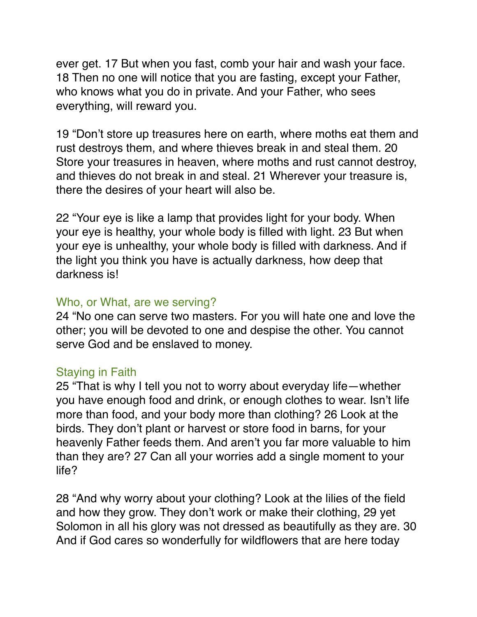ever get. 17 But when you fast, comb your hair and wash your face. 18 Then no one will notice that you are fasting, except your Father, who knows what you do in private. And your Father, who sees everything, will reward you.

19 "Don't store up treasures here on earth, where moths eat them and rust destroys them, and where thieves break in and steal them. 20 Store your treasures in heaven, where moths and rust cannot destroy, and thieves do not break in and steal. 21 Wherever your treasure is, there the desires of your heart will also be.

22 "Your eye is like a lamp that provides light for your body. When your eye is healthy, your whole body is filled with light. 23 But when your eye is unhealthy, your whole body is filled with darkness. And if the light you think you have is actually darkness, how deep that darkness is!

#### Who, or What, are we serving?

24 "No one can serve two masters. For you will hate one and love the other; you will be devoted to one and despise the other. You cannot serve God and be enslaved to money.

#### Staying in Faith

25 "That is why I tell you not to worry about everyday life—whether you have enough food and drink, or enough clothes to wear. Isn't life more than food, and your body more than clothing? 26 Look at the birds. They don't plant or harvest or store food in barns, for your heavenly Father feeds them. And aren't you far more valuable to him than they are? 27 Can all your worries add a single moment to your life?

28 "And why worry about your clothing? Look at the lilies of the field and how they grow. They don't work or make their clothing, 29 yet Solomon in all his glory was not dressed as beautifully as they are. 30 And if God cares so wonderfully for wildflowers that are here today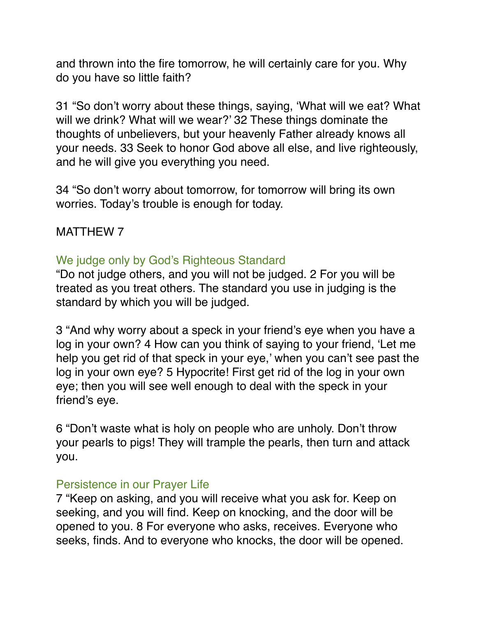and thrown into the fire tomorrow, he will certainly care for you. Why do you have so little faith?

31 "So don't worry about these things, saying, 'What will we eat? What will we drink? What will we wear?' 32 These things dominate the thoughts of unbelievers, but your heavenly Father already knows all your needs. 33 Seek to honor God above all else, and live righteously, and he will give you everything you need.

34 "So don't worry about tomorrow, for tomorrow will bring its own worries. Today's trouble is enough for today.

MATTHEW 7

### We judge only by God's Righteous Standard

"Do not judge others, and you will not be judged. 2 For you will be treated as you treat others. The standard you use in judging is the standard by which you will be judged.

3 "And why worry about a speck in your friend's eye when you have a log in your own? 4 How can you think of saying to your friend, 'Let me help you get rid of that speck in your eye,' when you can't see past the log in your own eye? 5 Hypocrite! First get rid of the log in your own eye; then you will see well enough to deal with the speck in your friend's eye.

6 "Don't waste what is holy on people who are unholy. Don't throw your pearls to pigs! They will trample the pearls, then turn and attack you.

### Persistence in our Prayer Life

7 "Keep on asking, and you will receive what you ask for. Keep on seeking, and you will find. Keep on knocking, and the door will be opened to you. 8 For everyone who asks, receives. Everyone who seeks, finds. And to everyone who knocks, the door will be opened.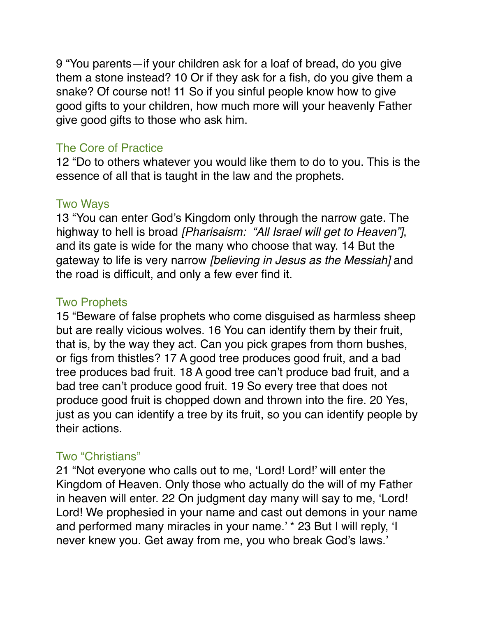9 "You parents—if your children ask for a loaf of bread, do you give them a stone instead? 10 Or if they ask for a fish, do you give them a snake? Of course not! 11 So if you sinful people know how to give good gifts to your children, how much more will your heavenly Father give good gifts to those who ask him.

### The Core of Practice

12 "Do to others whatever you would like them to do to you. This is the essence of all that is taught in the law and the prophets.

#### Two Ways

13 "You can enter God's Kingdom only through the narrow gate. The highway to hell is broad *[Pharisaism: "All Israel will get to Heaven"]*, and its gate is wide for the many who choose that way. 14 But the gateway to life is very narrow *[believing in Jesus as the Messiah]* and the road is difficult, and only a few ever find it.

### Two Prophets

15 "Beware of false prophets who come disguised as harmless sheep but are really vicious wolves. 16 You can identify them by their fruit, that is, by the way they act. Can you pick grapes from thorn bushes, or figs from thistles? 17 A good tree produces good fruit, and a bad tree produces bad fruit. 18 A good tree can't produce bad fruit, and a bad tree can't produce good fruit. 19 So every tree that does not produce good fruit is chopped down and thrown into the fire. 20 Yes, just as you can identify a tree by its fruit, so you can identify people by their actions.

### Two "Christians"

21 "Not everyone who calls out to me, 'Lord! Lord!' will enter the Kingdom of Heaven. Only those who actually do the will of my Father in heaven will enter. 22 On judgment day many will say to me, 'Lord! Lord! We prophesied in your name and cast out demons in your name and performed many miracles in your name.' \* 23 But I will reply, 'I never knew you. Get away from me, you who break God's laws.'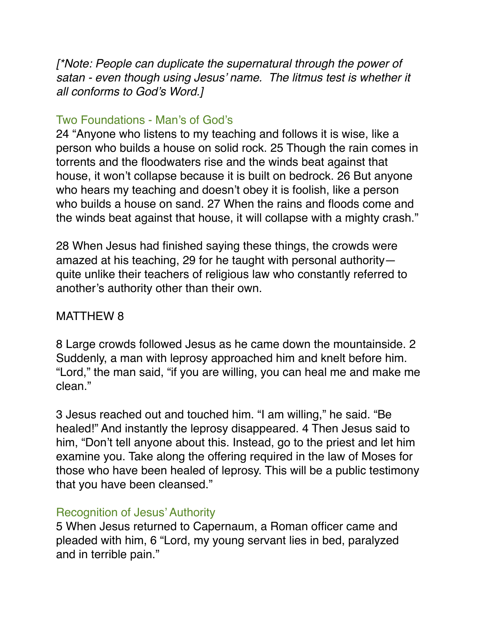*[\*Note: People can duplicate the supernatural through the power of satan - even though using Jesus' name. The litmus test is whether it all conforms to God's Word.]*

### Two Foundations - Man's of God's

24 "Anyone who listens to my teaching and follows it is wise, like a person who builds a house on solid rock. 25 Though the rain comes in torrents and the floodwaters rise and the winds beat against that house, it won't collapse because it is built on bedrock. 26 But anyone who hears my teaching and doesn't obey it is foolish, like a person who builds a house on sand. 27 When the rains and floods come and the winds beat against that house, it will collapse with a mighty crash."

28 When Jesus had finished saying these things, the crowds were amazed at his teaching, 29 for he taught with personal authority quite unlike their teachers of religious law who constantly referred to another's authority other than their own.

### MATTHEW 8

8 Large crowds followed Jesus as he came down the mountainside. 2 Suddenly, a man with leprosy approached him and knelt before him. "Lord," the man said, "if you are willing, you can heal me and make me clean."

3 Jesus reached out and touched him. "I am willing," he said. "Be healed!" And instantly the leprosy disappeared. 4 Then Jesus said to him, "Don't tell anyone about this. Instead, go to the priest and let him examine you. Take along the offering required in the law of Moses for those who have been healed of leprosy. This will be a public testimony that you have been cleansed."

### Recognition of Jesus' Authority

5 When Jesus returned to Capernaum, a Roman officer came and pleaded with him, 6 "Lord, my young servant lies in bed, paralyzed and in terrible pain."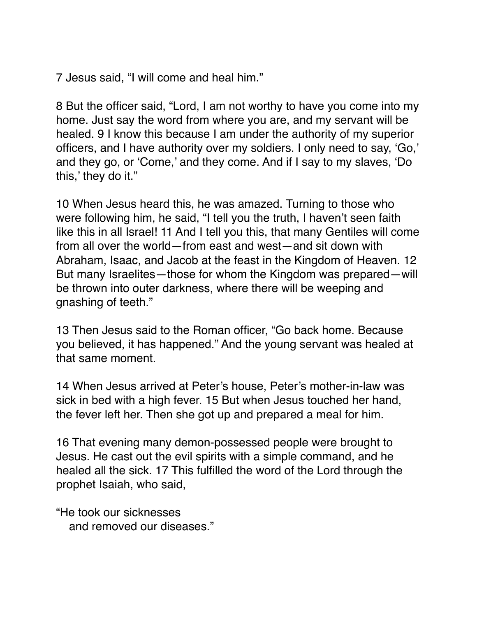7 Jesus said, "I will come and heal him."

8 But the officer said, "Lord, I am not worthy to have you come into my home. Just say the word from where you are, and my servant will be healed. 9 I know this because I am under the authority of my superior officers, and I have authority over my soldiers. I only need to say, 'Go,' and they go, or 'Come,' and they come. And if I say to my slaves, 'Do this,' they do it."

10 When Jesus heard this, he was amazed. Turning to those who were following him, he said, "I tell you the truth, I haven't seen faith like this in all Israel! 11 And I tell you this, that many Gentiles will come from all over the world—from east and west—and sit down with Abraham, Isaac, and Jacob at the feast in the Kingdom of Heaven. 12 But many Israelites—those for whom the Kingdom was prepared—will be thrown into outer darkness, where there will be weeping and gnashing of teeth."

13 Then Jesus said to the Roman officer, "Go back home. Because you believed, it has happened." And the young servant was healed at that same moment.

14 When Jesus arrived at Peter's house, Peter's mother-in-law was sick in bed with a high fever. 15 But when Jesus touched her hand, the fever left her. Then she got up and prepared a meal for him.

16 That evening many demon-possessed people were brought to Jesus. He cast out the evil spirits with a simple command, and he healed all the sick. 17 This fulfilled the word of the Lord through the prophet Isaiah, who said,

"He took our sicknesses and removed our diseases."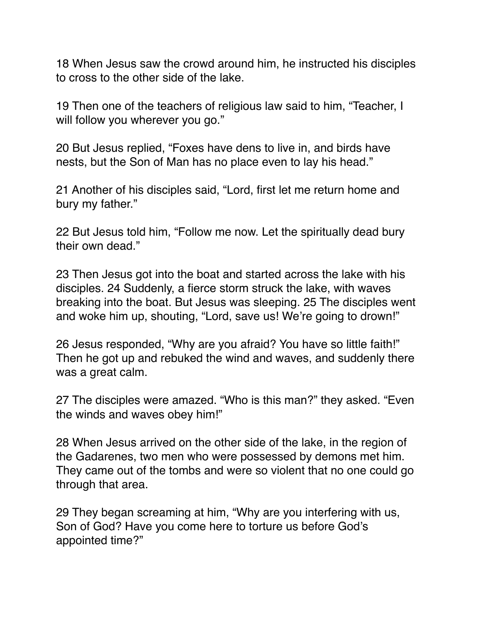18 When Jesus saw the crowd around him, he instructed his disciples to cross to the other side of the lake.

19 Then one of the teachers of religious law said to him, "Teacher, I will follow you wherever you go."

20 But Jesus replied, "Foxes have dens to live in, and birds have nests, but the Son of Man has no place even to lay his head."

21 Another of his disciples said, "Lord, first let me return home and bury my father."

22 But Jesus told him, "Follow me now. Let the spiritually dead bury their own dead."

23 Then Jesus got into the boat and started across the lake with his disciples. 24 Suddenly, a fierce storm struck the lake, with waves breaking into the boat. But Jesus was sleeping. 25 The disciples went and woke him up, shouting, "Lord, save us! We're going to drown!"

26 Jesus responded, "Why are you afraid? You have so little faith!" Then he got up and rebuked the wind and waves, and suddenly there was a great calm.

27 The disciples were amazed. "Who is this man?" they asked. "Even the winds and waves obey him!"

28 When Jesus arrived on the other side of the lake, in the region of the Gadarenes, two men who were possessed by demons met him. They came out of the tombs and were so violent that no one could go through that area.

29 They began screaming at him, "Why are you interfering with us, Son of God? Have you come here to torture us before God's appointed time?"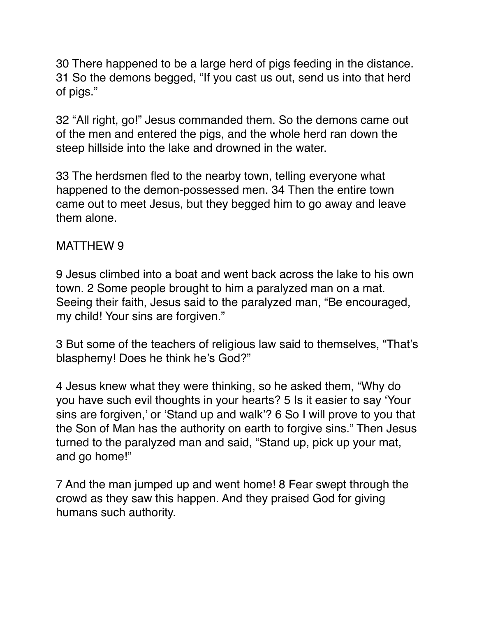30 There happened to be a large herd of pigs feeding in the distance. 31 So the demons begged, "If you cast us out, send us into that herd of pigs."

32 "All right, go!" Jesus commanded them. So the demons came out of the men and entered the pigs, and the whole herd ran down the steep hillside into the lake and drowned in the water.

33 The herdsmen fled to the nearby town, telling everyone what happened to the demon-possessed men. 34 Then the entire town came out to meet Jesus, but they begged him to go away and leave them alone.

### MATTHEW 9

9 Jesus climbed into a boat and went back across the lake to his own town. 2 Some people brought to him a paralyzed man on a mat. Seeing their faith, Jesus said to the paralyzed man, "Be encouraged, my child! Your sins are forgiven."

3 But some of the teachers of religious law said to themselves, "That's blasphemy! Does he think he's God?"

4 Jesus knew what they were thinking, so he asked them, "Why do you have such evil thoughts in your hearts? 5 Is it easier to say 'Your sins are forgiven,' or 'Stand up and walk'? 6 So I will prove to you that the Son of Man has the authority on earth to forgive sins." Then Jesus turned to the paralyzed man and said, "Stand up, pick up your mat, and go home!"

7 And the man jumped up and went home! 8 Fear swept through the crowd as they saw this happen. And they praised God for giving humans such authority.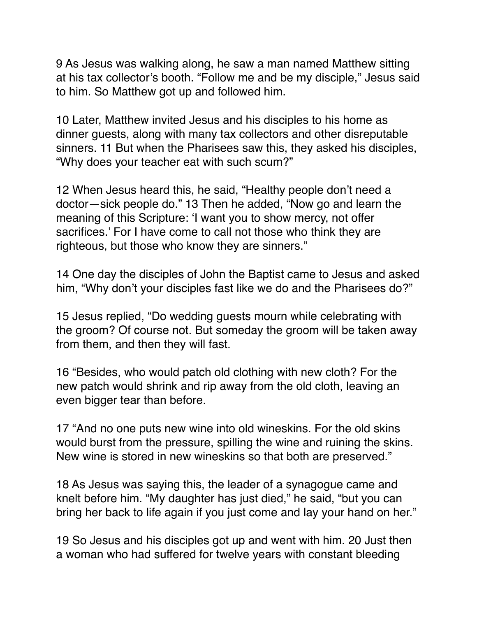9 As Jesus was walking along, he saw a man named Matthew sitting at his tax collector's booth. "Follow me and be my disciple," Jesus said to him. So Matthew got up and followed him.

10 Later, Matthew invited Jesus and his disciples to his home as dinner guests, along with many tax collectors and other disreputable sinners. 11 But when the Pharisees saw this, they asked his disciples, "Why does your teacher eat with such scum?"

12 When Jesus heard this, he said, "Healthy people don't need a doctor—sick people do." 13 Then he added, "Now go and learn the meaning of this Scripture: 'I want you to show mercy, not offer sacrifices.' For I have come to call not those who think they are righteous, but those who know they are sinners."

14 One day the disciples of John the Baptist came to Jesus and asked him, "Why don't your disciples fast like we do and the Pharisees do?"

15 Jesus replied, "Do wedding guests mourn while celebrating with the groom? Of course not. But someday the groom will be taken away from them, and then they will fast.

16 "Besides, who would patch old clothing with new cloth? For the new patch would shrink and rip away from the old cloth, leaving an even bigger tear than before.

17 "And no one puts new wine into old wineskins. For the old skins would burst from the pressure, spilling the wine and ruining the skins. New wine is stored in new wineskins so that both are preserved."

18 As Jesus was saying this, the leader of a synagogue came and knelt before him. "My daughter has just died," he said, "but you can bring her back to life again if you just come and lay your hand on her."

19 So Jesus and his disciples got up and went with him. 20 Just then a woman who had suffered for twelve years with constant bleeding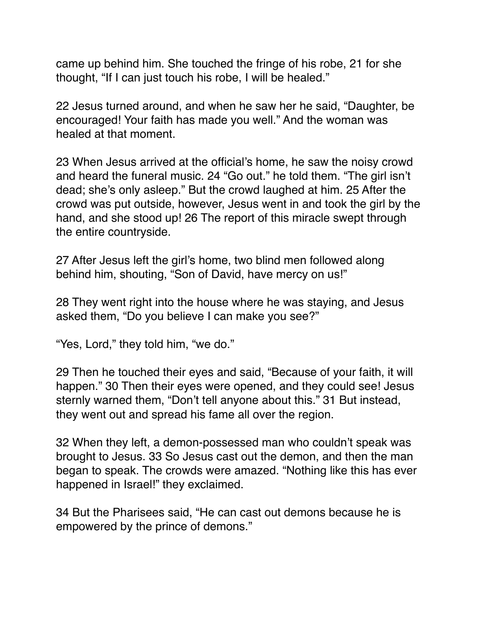came up behind him. She touched the fringe of his robe, 21 for she thought, "If I can just touch his robe, I will be healed."

22 Jesus turned around, and when he saw her he said, "Daughter, be encouraged! Your faith has made you well." And the woman was healed at that moment.

23 When Jesus arrived at the official's home, he saw the noisy crowd and heard the funeral music. 24 "Go out." he told them. "The girl isn't dead; she's only asleep." But the crowd laughed at him. 25 After the crowd was put outside, however, Jesus went in and took the girl by the hand, and she stood up! 26 The report of this miracle swept through the entire countryside.

27 After Jesus left the girl's home, two blind men followed along behind him, shouting, "Son of David, have mercy on us!"

28 They went right into the house where he was staying, and Jesus asked them, "Do you believe I can make you see?"

"Yes, Lord," they told him, "we do."

29 Then he touched their eyes and said, "Because of your faith, it will happen." 30 Then their eyes were opened, and they could see! Jesus sternly warned them, "Don't tell anyone about this." 31 But instead, they went out and spread his fame all over the region.

32 When they left, a demon-possessed man who couldn't speak was brought to Jesus. 33 So Jesus cast out the demon, and then the man began to speak. The crowds were amazed. "Nothing like this has ever happened in Israel!" they exclaimed.

34 But the Pharisees said, "He can cast out demons because he is empowered by the prince of demons."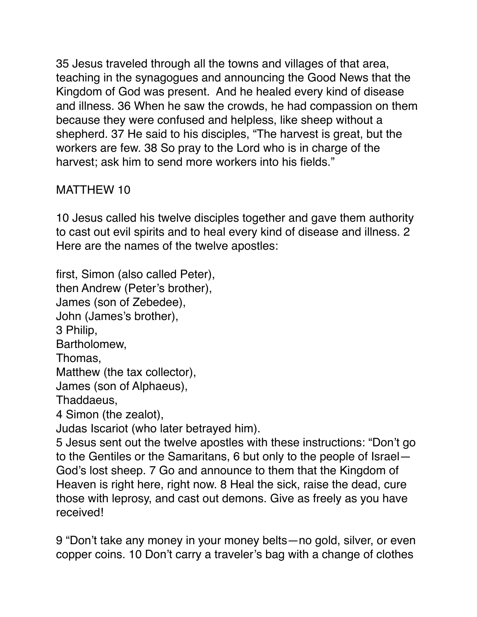35 Jesus traveled through all the towns and villages of that area, teaching in the synagogues and announcing the Good News that the Kingdom of God was present. And he healed every kind of disease and illness. 36 When he saw the crowds, he had compassion on them because they were confused and helpless, like sheep without a shepherd. 37 He said to his disciples, "The harvest is great, but the workers are few. 38 So pray to the Lord who is in charge of the harvest; ask him to send more workers into his fields."

# MATTHEW 10

10 Jesus called his twelve disciples together and gave them authority to cast out evil spirits and to heal every kind of disease and illness. 2 Here are the names of the twelve apostles:

first, Simon (also called Peter),

then Andrew (Peter's brother),

James (son of Zebedee),

John (James's brother),

3 Philip,

Bartholomew,

Thomas,

Matthew (the tax collector),

James (son of Alphaeus),

Thaddaeus,

4 Simon (the zealot),

Judas Iscariot (who later betrayed him).

5 Jesus sent out the twelve apostles with these instructions: "Don't go to the Gentiles or the Samaritans, 6 but only to the people of Israel— God's lost sheep. 7 Go and announce to them that the Kingdom of Heaven is right here, right now. 8 Heal the sick, raise the dead, cure those with leprosy, and cast out demons. Give as freely as you have received!

9 "Don't take any money in your money belts—no gold, silver, or even copper coins. 10 Don't carry a traveler's bag with a change of clothes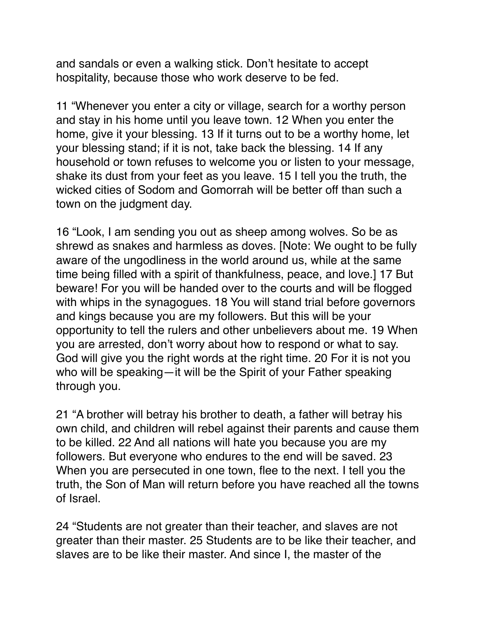and sandals or even a walking stick. Don't hesitate to accept hospitality, because those who work deserve to be fed.

11 "Whenever you enter a city or village, search for a worthy person and stay in his home until you leave town. 12 When you enter the home, give it your blessing. 13 If it turns out to be a worthy home, let your blessing stand; if it is not, take back the blessing. 14 If any household or town refuses to welcome you or listen to your message, shake its dust from your feet as you leave. 15 I tell you the truth, the wicked cities of Sodom and Gomorrah will be better off than such a town on the judgment day.

16 "Look, I am sending you out as sheep among wolves. So be as shrewd as snakes and harmless as doves. [Note: We ought to be fully aware of the ungodliness in the world around us, while at the same time being filled with a spirit of thankfulness, peace, and love.] 17 But beware! For you will be handed over to the courts and will be flogged with whips in the synagogues. 18 You will stand trial before governors and kings because you are my followers. But this will be your opportunity to tell the rulers and other unbelievers about me. 19 When you are arrested, don't worry about how to respond or what to say. God will give you the right words at the right time. 20 For it is not you who will be speaking—it will be the Spirit of your Father speaking through you.

21 "A brother will betray his brother to death, a father will betray his own child, and children will rebel against their parents and cause them to be killed. 22 And all nations will hate you because you are my followers. But everyone who endures to the end will be saved. 23 When you are persecuted in one town, flee to the next. I tell you the truth, the Son of Man will return before you have reached all the towns of Israel.

24 "Students are not greater than their teacher, and slaves are not greater than their master. 25 Students are to be like their teacher, and slaves are to be like their master. And since I, the master of the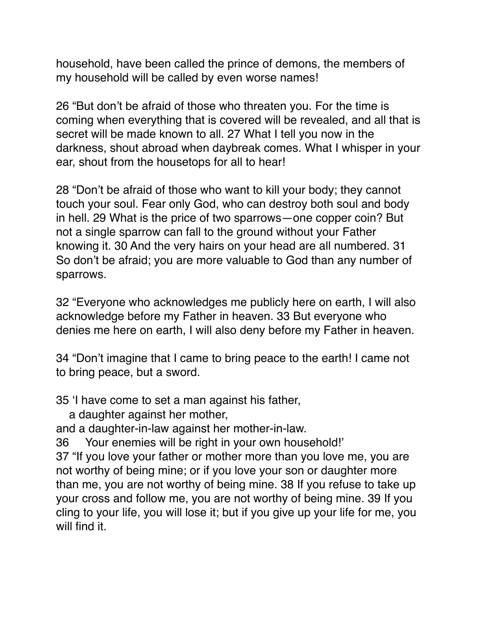household, have been called the prince of demons, the members of my household will be called by even worse names!

26 "But don't be afraid of those who threaten you. For the time is coming when everything that is covered will be revealed, and all that is secret will be made known to all. 27 What I tell you now in the darkness, shout abroad when daybreak comes. What I whisper in your ear, shout from the housetops for all to hear!

28 "Don't be afraid of those who want to kill your body; they cannot touch your soul. Fear only God, who can destroy both soul and body in hell. 29 What is the price of two sparrows—one copper coin? But not a single sparrow can fall to the ground without your Father knowing it. 30 And the very hairs on your head are all numbered. 31 So don't be afraid; you are more valuable to God than any number of sparrows.

32 "Everyone who acknowledges me publicly here on earth, I will also acknowledge before my Father in heaven. 33 But everyone who denies me here on earth, I will also deny before my Father in heaven.

34 "Don't imagine that I came to bring peace to the earth! I came not to bring peace, but a sword.

35 'I have come to set a man against his father,

a daughter against her mother,

and a daughter-in-law against her mother-in-law.

36 Your enemies will be right in your own household!'

37 "If you love your father or mother more than you love me, you are not worthy of being mine; or if you love your son or daughter more than me, you are not worthy of being mine. 38 If you refuse to take up your cross and follow me, you are not worthy of being mine. 39 If you cling to your life, you will lose it; but if you give up your life for me, you will find it.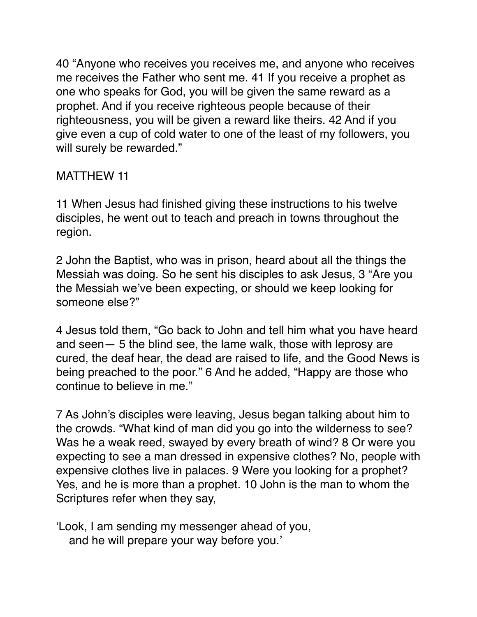40 "Anyone who receives you receives me, and anyone who receives me receives the Father who sent me. 41 If you receive a prophet as one who speaks for God, you will be given the same reward as a prophet. And if you receive righteous people because of their righteousness, you will be given a reward like theirs. 42 And if you give even a cup of cold water to one of the least of my followers, you will surely be rewarded."

### MATTHEW 11

11 When Jesus had finished giving these instructions to his twelve disciples, he went out to teach and preach in towns throughout the region.

2 John the Baptist, who was in prison, heard about all the things the Messiah was doing. So he sent his disciples to ask Jesus, 3 "Are you the Messiah we've been expecting, or should we keep looking for someone else?"

4 Jesus told them, "Go back to John and tell him what you have heard and seen— 5 the blind see, the lame walk, those with leprosy are cured, the deaf hear, the dead are raised to life, and the Good News is being preached to the poor." 6 And he added, "Happy are those who continue to believe in me."

7 As John's disciples were leaving, Jesus began talking about him to the crowds. "What kind of man did you go into the wilderness to see? Was he a weak reed, swayed by every breath of wind? 8 Or were you expecting to see a man dressed in expensive clothes? No, people with expensive clothes live in palaces. 9 Were you looking for a prophet? Yes, and he is more than a prophet. 10 John is the man to whom the Scriptures refer when they say,

'Look, I am sending my messenger ahead of you, and he will prepare your way before you.'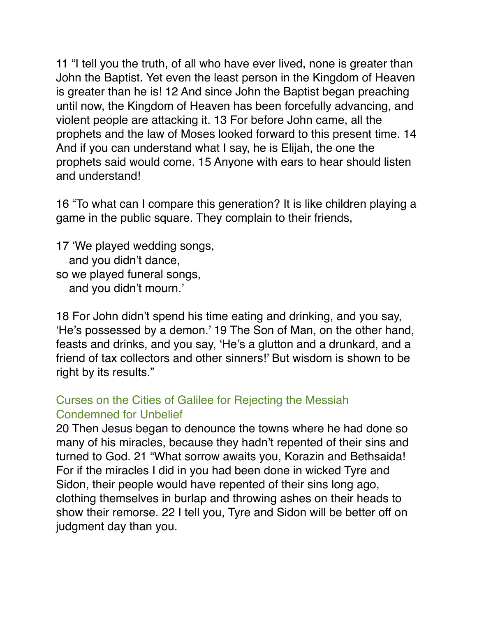11 "I tell you the truth, of all who have ever lived, none is greater than John the Baptist. Yet even the least person in the Kingdom of Heaven is greater than he is! 12 And since John the Baptist began preaching until now, the Kingdom of Heaven has been forcefully advancing, and violent people are attacking it. 13 For before John came, all the prophets and the law of Moses looked forward to this present time. 14 And if you can understand what I say, he is Elijah, the one the prophets said would come. 15 Anyone with ears to hear should listen and understand!

16 "To what can I compare this generation? It is like children playing a game in the public square. They complain to their friends,

17 'We played wedding songs, and you didn't dance, so we played funeral songs, and you didn't mourn.'

18 For John didn't spend his time eating and drinking, and you say, 'He's possessed by a demon.' 19 The Son of Man, on the other hand, feasts and drinks, and you say, 'He's a glutton and a drunkard, and a friend of tax collectors and other sinners!' But wisdom is shown to be right by its results."

### Curses on the Cities of Galilee for Rejecting the Messiah Condemned for Unbelief

20 Then Jesus began to denounce the towns where he had done so many of his miracles, because they hadn't repented of their sins and turned to God. 21 "What sorrow awaits you, Korazin and Bethsaida! For if the miracles I did in you had been done in wicked Tyre and Sidon, their people would have repented of their sins long ago, clothing themselves in burlap and throwing ashes on their heads to show their remorse. 22 I tell you, Tyre and Sidon will be better off on judgment day than you.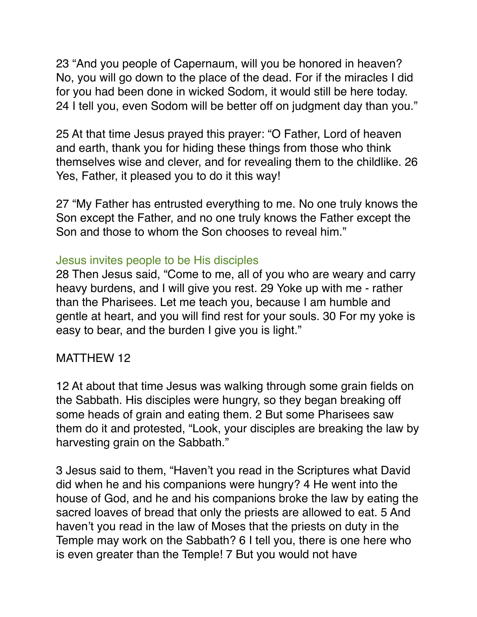23 "And you people of Capernaum, will you be honored in heaven? No, you will go down to the place of the dead. For if the miracles I did for you had been done in wicked Sodom, it would still be here today. 24 I tell you, even Sodom will be better off on judgment day than you."

25 At that time Jesus prayed this prayer: "O Father, Lord of heaven and earth, thank you for hiding these things from those who think themselves wise and clever, and for revealing them to the childlike. 26 Yes, Father, it pleased you to do it this way!

27 "My Father has entrusted everything to me. No one truly knows the Son except the Father, and no one truly knows the Father except the Son and those to whom the Son chooses to reveal him."

#### Jesus invites people to be His disciples

28 Then Jesus said, "Come to me, all of you who are weary and carry heavy burdens, and I will give you rest. 29 Yoke up with me - rather than the Pharisees. Let me teach you, because I am humble and gentle at heart, and you will find rest for your souls. 30 For my yoke is easy to bear, and the burden I give you is light."

#### MATTHEW 12

12 At about that time Jesus was walking through some grain fields on the Sabbath. His disciples were hungry, so they began breaking off some heads of grain and eating them. 2 But some Pharisees saw them do it and protested, "Look, your disciples are breaking the law by harvesting grain on the Sabbath."

3 Jesus said to them, "Haven't you read in the Scriptures what David did when he and his companions were hungry? 4 He went into the house of God, and he and his companions broke the law by eating the sacred loaves of bread that only the priests are allowed to eat. 5 And haven't you read in the law of Moses that the priests on duty in the Temple may work on the Sabbath? 6 I tell you, there is one here who is even greater than the Temple! 7 But you would not have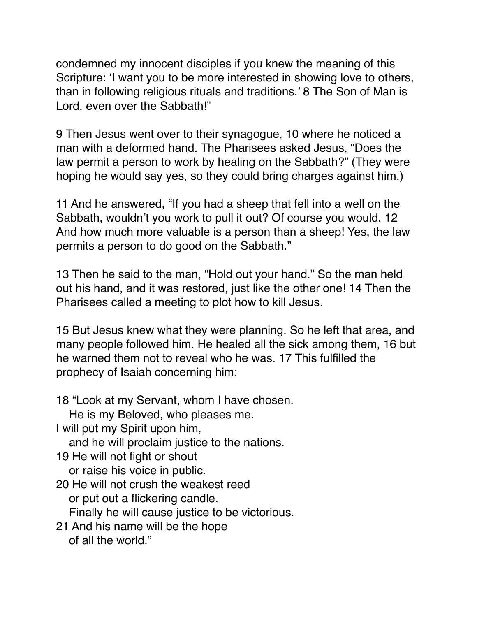condemned my innocent disciples if you knew the meaning of this Scripture: 'I want you to be more interested in showing love to others, than in following religious rituals and traditions.' 8 The Son of Man is Lord, even over the Sabbath!"

9 Then Jesus went over to their synagogue, 10 where he noticed a man with a deformed hand. The Pharisees asked Jesus, "Does the law permit a person to work by healing on the Sabbath?" (They were hoping he would say yes, so they could bring charges against him.)

11 And he answered, "If you had a sheep that fell into a well on the Sabbath, wouldn't you work to pull it out? Of course you would. 12 And how much more valuable is a person than a sheep! Yes, the law permits a person to do good on the Sabbath."

13 Then he said to the man, "Hold out your hand." So the man held out his hand, and it was restored, just like the other one! 14 Then the Pharisees called a meeting to plot how to kill Jesus.

15 But Jesus knew what they were planning. So he left that area, and many people followed him. He healed all the sick among them, 16 but he warned them not to reveal who he was. 17 This fulfilled the prophecy of Isaiah concerning him:

18 "Look at my Servant, whom I have chosen. He is my Beloved, who pleases me. I will put my Spirit upon him, and he will proclaim justice to the nations. 19 He will not fight or shout or raise his voice in public. 20 He will not crush the weakest reed or put out a flickering candle. Finally he will cause justice to be victorious. 21 And his name will be the hope of all the world."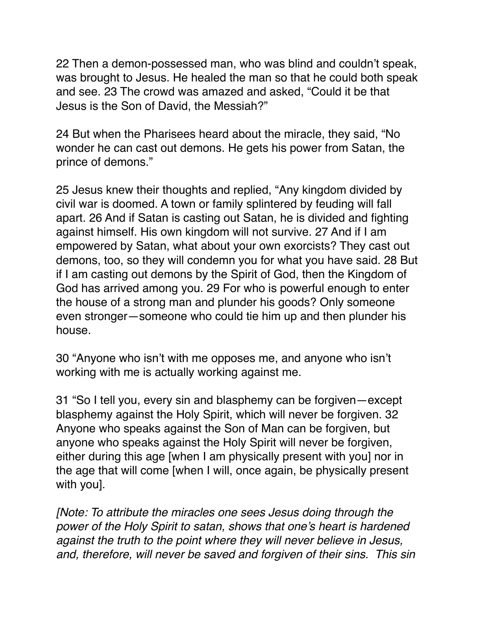22 Then a demon-possessed man, who was blind and couldn't speak, was brought to Jesus. He healed the man so that he could both speak and see. 23 The crowd was amazed and asked, "Could it be that Jesus is the Son of David, the Messiah?"

24 But when the Pharisees heard about the miracle, they said, "No wonder he can cast out demons. He gets his power from Satan, the prince of demons."

25 Jesus knew their thoughts and replied, "Any kingdom divided by civil war is doomed. A town or family splintered by feuding will fall apart. 26 And if Satan is casting out Satan, he is divided and fighting against himself. His own kingdom will not survive. 27 And if I am empowered by Satan, what about your own exorcists? They cast out demons, too, so they will condemn you for what you have said. 28 But if I am casting out demons by the Spirit of God, then the Kingdom of God has arrived among you. 29 For who is powerful enough to enter the house of a strong man and plunder his goods? Only someone even stronger—someone who could tie him up and then plunder his house.

30 "Anyone who isn't with me opposes me, and anyone who isn't working with me is actually working against me.

31 "So I tell you, every sin and blasphemy can be forgiven—except blasphemy against the Holy Spirit, which will never be forgiven. 32 Anyone who speaks against the Son of Man can be forgiven, but anyone who speaks against the Holy Spirit will never be forgiven, either during this age [when I am physically present with you] nor in the age that will come [when I will, once again, be physically present with you].

*[Note: To attribute the miracles one sees Jesus doing through the power of the Holy Spirit to satan, shows that one's heart is hardened against the truth to the point where they will never believe in Jesus, and, therefore, will never be saved and forgiven of their sins. This sin*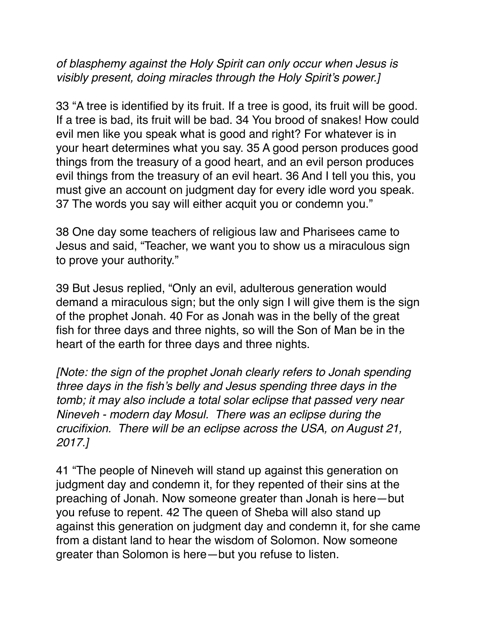# *of blasphemy against the Holy Spirit can only occur when Jesus is visibly present, doing miracles through the Holy Spirit's power.]*

33 "A tree is identified by its fruit. If a tree is good, its fruit will be good. If a tree is bad, its fruit will be bad. 34 You brood of snakes! How could evil men like you speak what is good and right? For whatever is in your heart determines what you say. 35 A good person produces good things from the treasury of a good heart, and an evil person produces evil things from the treasury of an evil heart. 36 And I tell you this, you must give an account on judgment day for every idle word you speak. 37 The words you say will either acquit you or condemn you."

38 One day some teachers of religious law and Pharisees came to Jesus and said, "Teacher, we want you to show us a miraculous sign to prove your authority."

39 But Jesus replied, "Only an evil, adulterous generation would demand a miraculous sign; but the only sign I will give them is the sign of the prophet Jonah. 40 For as Jonah was in the belly of the great fish for three days and three nights, so will the Son of Man be in the heart of the earth for three days and three nights.

*[Note: the sign of the prophet Jonah clearly refers to Jonah spending three days in the fish's belly and Jesus spending three days in the tomb; it may also include a total solar eclipse that passed very near Nineveh - modern day Mosul. There was an eclipse during the crucifixion. There will be an eclipse across the USA, on August 21, 2017.]*

41 "The people of Nineveh will stand up against this generation on judgment day and condemn it, for they repented of their sins at the preaching of Jonah. Now someone greater than Jonah is here—but you refuse to repent. 42 The queen of Sheba will also stand up against this generation on judgment day and condemn it, for she came from a distant land to hear the wisdom of Solomon. Now someone greater than Solomon is here—but you refuse to listen.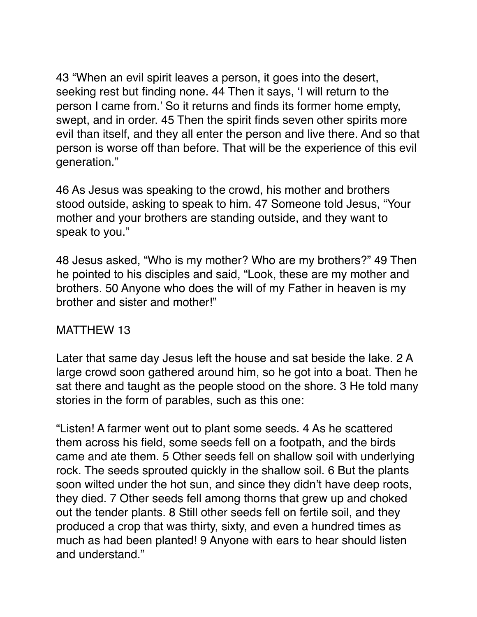43 "When an evil spirit leaves a person, it goes into the desert, seeking rest but finding none. 44 Then it says, 'I will return to the person I came from.' So it returns and finds its former home empty, swept, and in order. 45 Then the spirit finds seven other spirits more evil than itself, and they all enter the person and live there. And so that person is worse off than before. That will be the experience of this evil generation."

46 As Jesus was speaking to the crowd, his mother and brothers stood outside, asking to speak to him. 47 Someone told Jesus, "Your mother and your brothers are standing outside, and they want to speak to you."

48 Jesus asked, "Who is my mother? Who are my brothers?" 49 Then he pointed to his disciples and said, "Look, these are my mother and brothers. 50 Anyone who does the will of my Father in heaven is my brother and sister and mother!"

# MATTHEW 13

Later that same day Jesus left the house and sat beside the lake. 2 A large crowd soon gathered around him, so he got into a boat. Then he sat there and taught as the people stood on the shore. 3 He told many stories in the form of parables, such as this one:

"Listen! A farmer went out to plant some seeds. 4 As he scattered them across his field, some seeds fell on a footpath, and the birds came and ate them. 5 Other seeds fell on shallow soil with underlying rock. The seeds sprouted quickly in the shallow soil. 6 But the plants soon wilted under the hot sun, and since they didn't have deep roots, they died. 7 Other seeds fell among thorns that grew up and choked out the tender plants. 8 Still other seeds fell on fertile soil, and they produced a crop that was thirty, sixty, and even a hundred times as much as had been planted! 9 Anyone with ears to hear should listen and understand."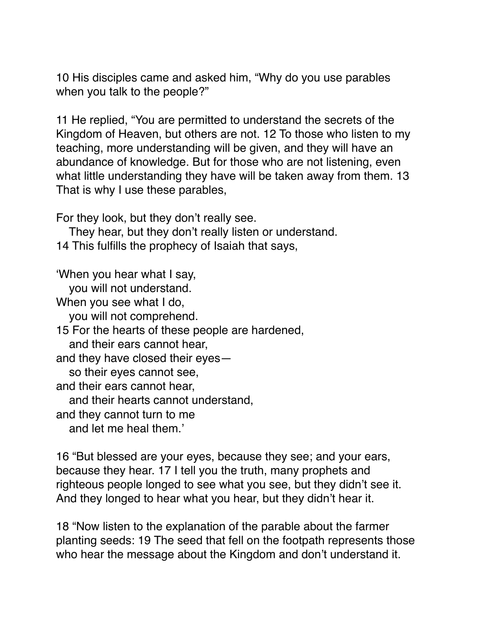10 His disciples came and asked him, "Why do you use parables when you talk to the people?"

11 He replied, "You are permitted to understand the secrets of the Kingdom of Heaven, but others are not. 12 To those who listen to my teaching, more understanding will be given, and they will have an abundance of knowledge. But for those who are not listening, even what little understanding they have will be taken away from them. 13 That is why I use these parables,

For they look, but they don't really see.

 They hear, but they don't really listen or understand. 14 This fulfills the prophecy of Isaiah that says,

'When you hear what I say,

you will not understand.

When you see what I do,

you will not comprehend.

15 For the hearts of these people are hardened,

and their ears cannot hear,

and they have closed their eyes—

so their eyes cannot see,

and their ears cannot hear,

and their hearts cannot understand,

and they cannot turn to me

and let me heal them.'

16 "But blessed are your eyes, because they see; and your ears, because they hear. 17 I tell you the truth, many prophets and righteous people longed to see what you see, but they didn't see it. And they longed to hear what you hear, but they didn't hear it.

18 "Now listen to the explanation of the parable about the farmer planting seeds: 19 The seed that fell on the footpath represents those who hear the message about the Kingdom and don't understand it.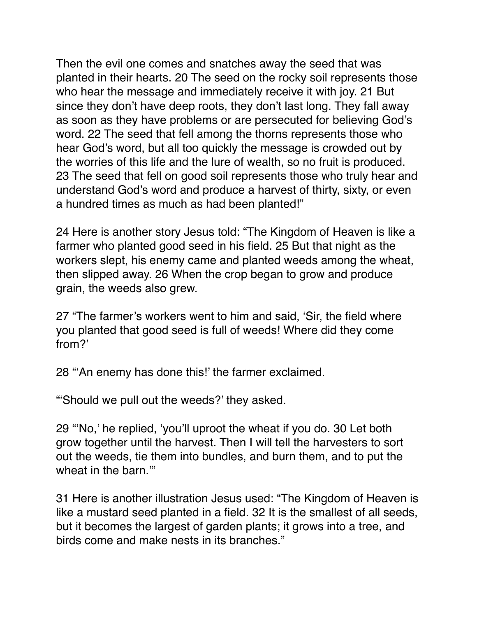Then the evil one comes and snatches away the seed that was planted in their hearts. 20 The seed on the rocky soil represents those who hear the message and immediately receive it with joy. 21 But since they don't have deep roots, they don't last long. They fall away as soon as they have problems or are persecuted for believing God's word. 22 The seed that fell among the thorns represents those who hear God's word, but all too quickly the message is crowded out by the worries of this life and the lure of wealth, so no fruit is produced. 23 The seed that fell on good soil represents those who truly hear and understand God's word and produce a harvest of thirty, sixty, or even a hundred times as much as had been planted!"

24 Here is another story Jesus told: "The Kingdom of Heaven is like a farmer who planted good seed in his field. 25 But that night as the workers slept, his enemy came and planted weeds among the wheat, then slipped away. 26 When the crop began to grow and produce grain, the weeds also grew.

27 "The farmer's workers went to him and said, 'Sir, the field where you planted that good seed is full of weeds! Where did they come from?'

28 "'An enemy has done this!' the farmer exclaimed.

"'Should we pull out the weeds?' they asked.

29 "'No,' he replied, 'you'll uproot the wheat if you do. 30 Let both grow together until the harvest. Then I will tell the harvesters to sort out the weeds, tie them into bundles, and burn them, and to put the wheat in the barn.'"

31 Here is another illustration Jesus used: "The Kingdom of Heaven is like a mustard seed planted in a field. 32 It is the smallest of all seeds, but it becomes the largest of garden plants; it grows into a tree, and birds come and make nests in its branches."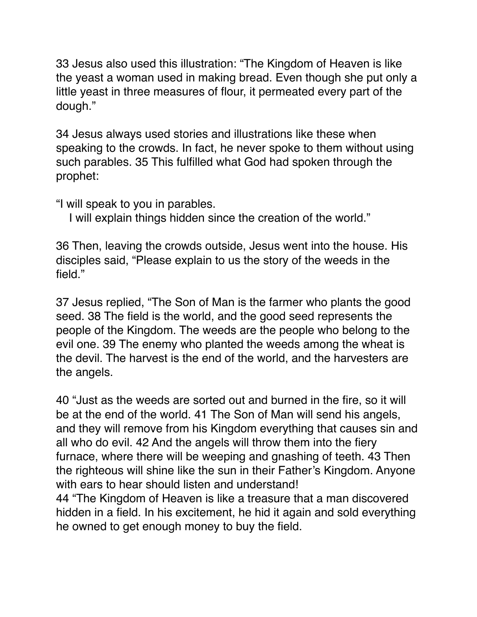33 Jesus also used this illustration: "The Kingdom of Heaven is like the yeast a woman used in making bread. Even though she put only a little yeast in three measures of flour, it permeated every part of the dough."

34 Jesus always used stories and illustrations like these when speaking to the crowds. In fact, he never spoke to them without using such parables. 35 This fulfilled what God had spoken through the prophet:

"I will speak to you in parables.

I will explain things hidden since the creation of the world."

36 Then, leaving the crowds outside, Jesus went into the house. His disciples said, "Please explain to us the story of the weeds in the field."

37 Jesus replied, "The Son of Man is the farmer who plants the good seed. 38 The field is the world, and the good seed represents the people of the Kingdom. The weeds are the people who belong to the evil one. 39 The enemy who planted the weeds among the wheat is the devil. The harvest is the end of the world, and the harvesters are the angels.

40 "Just as the weeds are sorted out and burned in the fire, so it will be at the end of the world. 41 The Son of Man will send his angels, and they will remove from his Kingdom everything that causes sin and all who do evil. 42 And the angels will throw them into the fiery furnace, where there will be weeping and gnashing of teeth. 43 Then the righteous will shine like the sun in their Father's Kingdom. Anyone with ears to hear should listen and understand!

44 "The Kingdom of Heaven is like a treasure that a man discovered hidden in a field. In his excitement, he hid it again and sold everything he owned to get enough money to buy the field.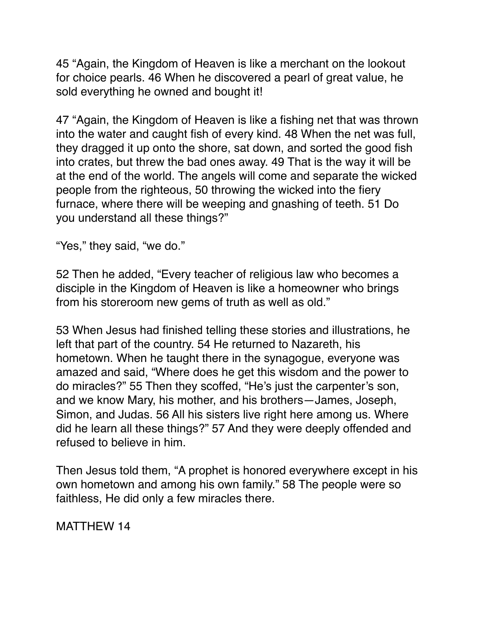45 "Again, the Kingdom of Heaven is like a merchant on the lookout for choice pearls. 46 When he discovered a pearl of great value, he sold everything he owned and bought it!

47 "Again, the Kingdom of Heaven is like a fishing net that was thrown into the water and caught fish of every kind. 48 When the net was full, they dragged it up onto the shore, sat down, and sorted the good fish into crates, but threw the bad ones away. 49 That is the way it will be at the end of the world. The angels will come and separate the wicked people from the righteous, 50 throwing the wicked into the fiery furnace, where there will be weeping and gnashing of teeth. 51 Do you understand all these things?"

"Yes," they said, "we do."

52 Then he added, "Every teacher of religious law who becomes a disciple in the Kingdom of Heaven is like a homeowner who brings from his storeroom new gems of truth as well as old."

53 When Jesus had finished telling these stories and illustrations, he left that part of the country. 54 He returned to Nazareth, his hometown. When he taught there in the synagogue, everyone was amazed and said, "Where does he get this wisdom and the power to do miracles?" 55 Then they scoffed, "He's just the carpenter's son, and we know Mary, his mother, and his brothers—James, Joseph, Simon, and Judas. 56 All his sisters live right here among us. Where did he learn all these things?" 57 And they were deeply offended and refused to believe in him.

Then Jesus told them, "A prophet is honored everywhere except in his own hometown and among his own family." 58 The people were so faithless, He did only a few miracles there.

MATTHEW 14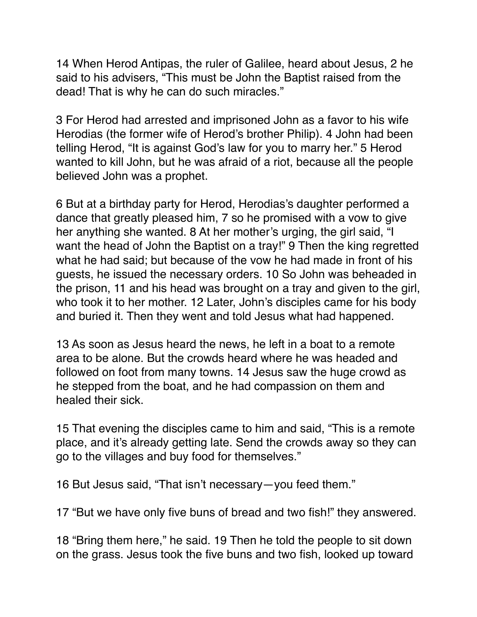14 When Herod Antipas, the ruler of Galilee, heard about Jesus, 2 he said to his advisers, "This must be John the Baptist raised from the dead! That is why he can do such miracles."

3 For Herod had arrested and imprisoned John as a favor to his wife Herodias (the former wife of Herod's brother Philip). 4 John had been telling Herod, "It is against God's law for you to marry her." 5 Herod wanted to kill John, but he was afraid of a riot, because all the people believed John was a prophet.

6 But at a birthday party for Herod, Herodias's daughter performed a dance that greatly pleased him, 7 so he promised with a vow to give her anything she wanted. 8 At her mother's urging, the girl said, "I want the head of John the Baptist on a tray!" 9 Then the king regretted what he had said; but because of the vow he had made in front of his guests, he issued the necessary orders. 10 So John was beheaded in the prison, 11 and his head was brought on a tray and given to the girl, who took it to her mother. 12 Later, John's disciples came for his body and buried it. Then they went and told Jesus what had happened.

13 As soon as Jesus heard the news, he left in a boat to a remote area to be alone. But the crowds heard where he was headed and followed on foot from many towns. 14 Jesus saw the huge crowd as he stepped from the boat, and he had compassion on them and healed their sick.

15 That evening the disciples came to him and said, "This is a remote place, and it's already getting late. Send the crowds away so they can go to the villages and buy food for themselves."

16 But Jesus said, "That isn't necessary—you feed them."

17 "But we have only five buns of bread and two fish!" they answered.

18 "Bring them here," he said. 19 Then he told the people to sit down on the grass. Jesus took the five buns and two fish, looked up toward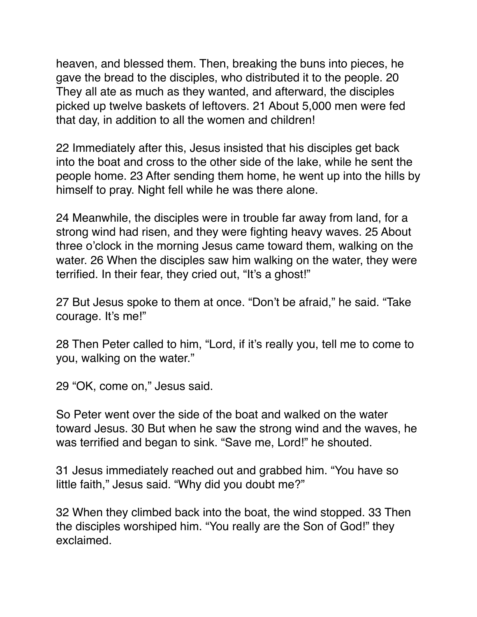heaven, and blessed them. Then, breaking the buns into pieces, he gave the bread to the disciples, who distributed it to the people. 20 They all ate as much as they wanted, and afterward, the disciples picked up twelve baskets of leftovers. 21 About 5,000 men were fed that day, in addition to all the women and children!

22 Immediately after this, Jesus insisted that his disciples get back into the boat and cross to the other side of the lake, while he sent the people home. 23 After sending them home, he went up into the hills by himself to pray. Night fell while he was there alone.

24 Meanwhile, the disciples were in trouble far away from land, for a strong wind had risen, and they were fighting heavy waves. 25 About three o'clock in the morning Jesus came toward them, walking on the water. 26 When the disciples saw him walking on the water, they were terrified. In their fear, they cried out, "It's a ghost!"

27 But Jesus spoke to them at once. "Don't be afraid," he said. "Take courage. It's me!"

28 Then Peter called to him, "Lord, if it's really you, tell me to come to you, walking on the water."

29 "OK, come on," Jesus said.

So Peter went over the side of the boat and walked on the water toward Jesus. 30 But when he saw the strong wind and the waves, he was terrified and began to sink. "Save me, Lord!" he shouted.

31 Jesus immediately reached out and grabbed him. "You have so little faith," Jesus said. "Why did you doubt me?"

32 When they climbed back into the boat, the wind stopped. 33 Then the disciples worshiped him. "You really are the Son of God!" they exclaimed.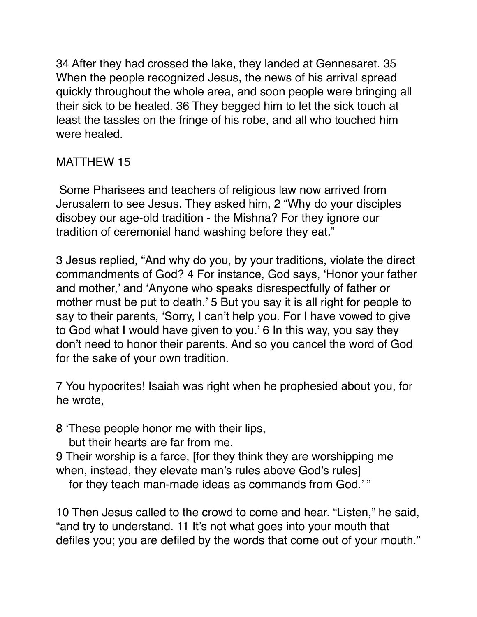34 After they had crossed the lake, they landed at Gennesaret. 35 When the people recognized Jesus, the news of his arrival spread quickly throughout the whole area, and soon people were bringing all their sick to be healed. 36 They begged him to let the sick touch at least the tassles on the fringe of his robe, and all who touched him were healed.

## MATTHEW 15

 Some Pharisees and teachers of religious law now arrived from Jerusalem to see Jesus. They asked him, 2 "Why do your disciples disobey our age-old tradition - the Mishna? For they ignore our tradition of ceremonial hand washing before they eat."

3 Jesus replied, "And why do you, by your traditions, violate the direct commandments of God? 4 For instance, God says, 'Honor your father and mother,' and 'Anyone who speaks disrespectfully of father or mother must be put to death.' 5 But you say it is all right for people to say to their parents, 'Sorry, I can't help you. For I have vowed to give to God what I would have given to you.' 6 In this way, you say they don't need to honor their parents. And so you cancel the word of God for the sake of your own tradition.

7 You hypocrites! Isaiah was right when he prophesied about you, for he wrote,

- 8 'These people honor me with their lips,
	- but their hearts are far from me.
- 9 Their worship is a farce, [for they think they are worshipping me when, instead, they elevate man's rules above God's rules]

for they teach man-made ideas as commands from God.' "

10 Then Jesus called to the crowd to come and hear. "Listen," he said, "and try to understand. 11 It's not what goes into your mouth that defiles you; you are defiled by the words that come out of your mouth."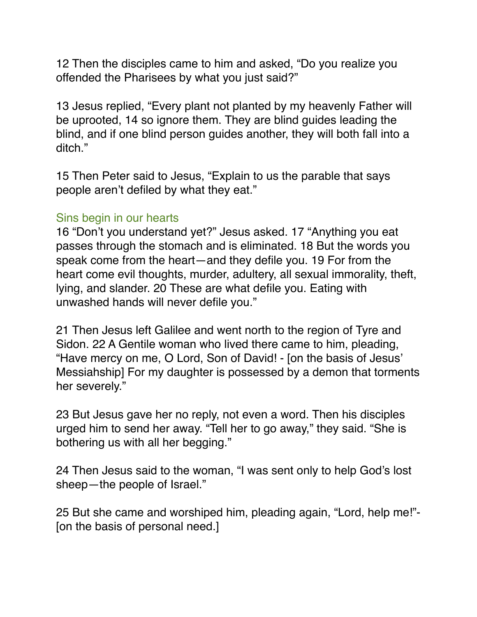12 Then the disciples came to him and asked, "Do you realize you offended the Pharisees by what you just said?"

13 Jesus replied, "Every plant not planted by my heavenly Father will be uprooted, 14 so ignore them. They are blind guides leading the blind, and if one blind person guides another, they will both fall into a ditch."

15 Then Peter said to Jesus, "Explain to us the parable that says people aren't defiled by what they eat."

#### Sins begin in our hearts

16 "Don't you understand yet?" Jesus asked. 17 "Anything you eat passes through the stomach and is eliminated. 18 But the words you speak come from the heart—and they defile you. 19 For from the heart come evil thoughts, murder, adultery, all sexual immorality, theft, lying, and slander. 20 These are what defile you. Eating with unwashed hands will never defile you."

21 Then Jesus left Galilee and went north to the region of Tyre and Sidon. 22 A Gentile woman who lived there came to him, pleading, "Have mercy on me, O Lord, Son of David! - [on the basis of Jesus' Messiahship] For my daughter is possessed by a demon that torments her severely."

23 But Jesus gave her no reply, not even a word. Then his disciples urged him to send her away. "Tell her to go away," they said. "She is bothering us with all her begging."

24 Then Jesus said to the woman, "I was sent only to help God's lost sheep—the people of Israel."

25 But she came and worshiped him, pleading again, "Lord, help me!"- [on the basis of personal need.]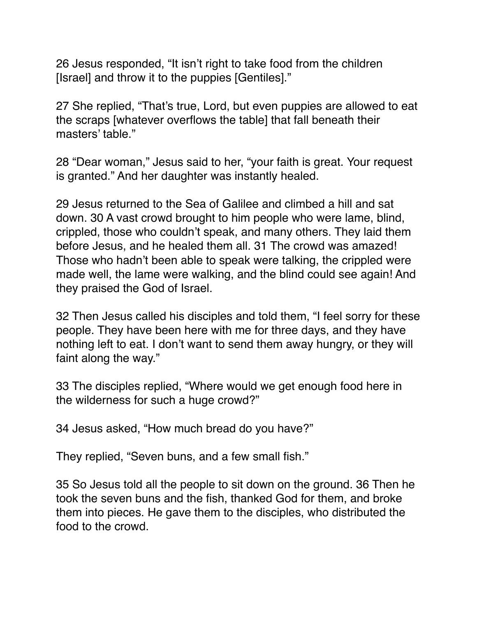26 Jesus responded, "It isn't right to take food from the children [Israel] and throw it to the puppies [Gentiles]."

27 She replied, "That's true, Lord, but even puppies are allowed to eat the scraps [whatever overflows the table] that fall beneath their masters' table."

28 "Dear woman," Jesus said to her, "your faith is great. Your request is granted." And her daughter was instantly healed.

29 Jesus returned to the Sea of Galilee and climbed a hill and sat down. 30 A vast crowd brought to him people who were lame, blind, crippled, those who couldn't speak, and many others. They laid them before Jesus, and he healed them all. 31 The crowd was amazed! Those who hadn't been able to speak were talking, the crippled were made well, the lame were walking, and the blind could see again! And they praised the God of Israel.

32 Then Jesus called his disciples and told them, "I feel sorry for these people. They have been here with me for three days, and they have nothing left to eat. I don't want to send them away hungry, or they will faint along the way."

33 The disciples replied, "Where would we get enough food here in the wilderness for such a huge crowd?"

34 Jesus asked, "How much bread do you have?"

They replied, "Seven buns, and a few small fish."

35 So Jesus told all the people to sit down on the ground. 36 Then he took the seven buns and the fish, thanked God for them, and broke them into pieces. He gave them to the disciples, who distributed the food to the crowd.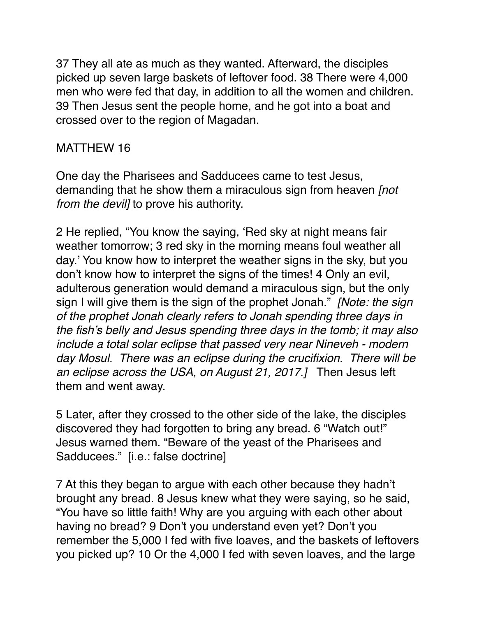37 They all ate as much as they wanted. Afterward, the disciples picked up seven large baskets of leftover food. 38 There were 4,000 men who were fed that day, in addition to all the women and children. 39 Then Jesus sent the people home, and he got into a boat and crossed over to the region of Magadan.

## MATTHEW 16

One day the Pharisees and Sadducees came to test Jesus, demanding that he show them a miraculous sign from heaven *[not from the devil]* to prove his authority.

2 He replied, "You know the saying, 'Red sky at night means fair weather tomorrow; 3 red sky in the morning means foul weather all day.' You know how to interpret the weather signs in the sky, but you don't know how to interpret the signs of the times! 4 Only an evil, adulterous generation would demand a miraculous sign, but the only sign I will give them is the sign of the prophet Jonah." *[Note: the sign of the prophet Jonah clearly refers to Jonah spending three days in the fish's belly and Jesus spending three days in the tomb; it may also include a total solar eclipse that passed very near Nineveh - modern day Mosul. There was an eclipse during the crucifixion. There will be an eclipse across the USA, on August 21, 2017.]* Then Jesus left them and went away.

5 Later, after they crossed to the other side of the lake, the disciples discovered they had forgotten to bring any bread. 6 "Watch out!" Jesus warned them. "Beware of the yeast of the Pharisees and Sadducees." [i.e.: false doctrine]

7 At this they began to argue with each other because they hadn't brought any bread. 8 Jesus knew what they were saying, so he said, "You have so little faith! Why are you arguing with each other about having no bread? 9 Don't you understand even yet? Don't you remember the 5,000 I fed with five loaves, and the baskets of leftovers you picked up? 10 Or the 4,000 I fed with seven loaves, and the large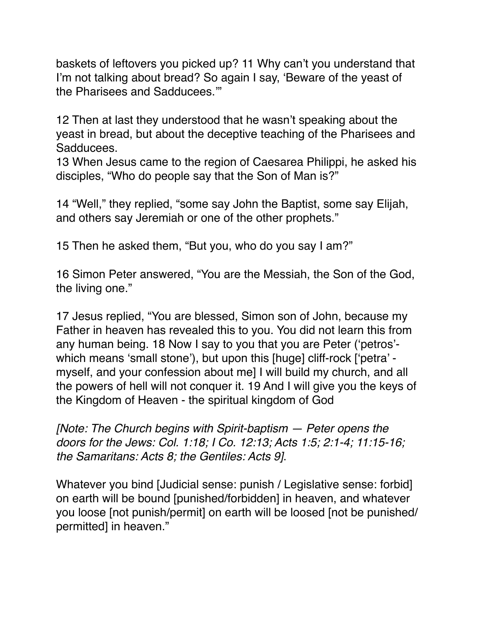baskets of leftovers you picked up? 11 Why can't you understand that I'm not talking about bread? So again I say, 'Beware of the yeast of the Pharisees and Sadducees.'"

12 Then at last they understood that he wasn't speaking about the yeast in bread, but about the deceptive teaching of the Pharisees and Sadducees.

13 When Jesus came to the region of Caesarea Philippi, he asked his disciples, "Who do people say that the Son of Man is?"

14 "Well," they replied, "some say John the Baptist, some say Elijah, and others say Jeremiah or one of the other prophets."

15 Then he asked them, "But you, who do you say I am?"

16 Simon Peter answered, "You are the Messiah, the Son of the God, the living one."

17 Jesus replied, "You are blessed, Simon son of John, because my Father in heaven has revealed this to you. You did not learn this from any human being. 18 Now I say to you that you are Peter ('petros' which means 'small stone'), but upon this [huge] cliff-rock ['petra' myself, and your confession about me] I will build my church, and all the powers of hell will not conquer it. 19 And I will give you the keys of the Kingdom of Heaven - the spiritual kingdom of God

*[Note: The Church begins with Spirit-baptism — Peter opens the doors for the Jews: Col. 1:18; I Co. 12:13; Acts 1:5; 2:1-4; 11:15-16; the Samaritans: Acts 8; the Gentiles: Acts 9]*.

Whatever you bind [Judicial sense: punish / Legislative sense: forbid] on earth will be bound [punished/forbidden] in heaven, and whatever you loose [not punish/permit] on earth will be loosed [not be punished/ permitted] in heaven."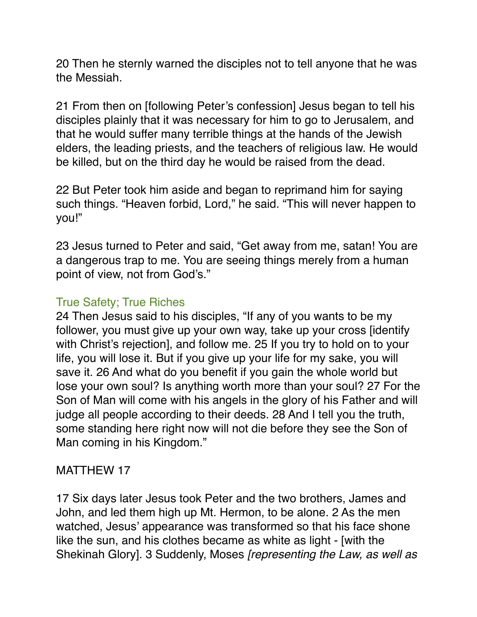20 Then he sternly warned the disciples not to tell anyone that he was the Messiah.

21 From then on [following Peter's confession] Jesus began to tell his disciples plainly that it was necessary for him to go to Jerusalem, and that he would suffer many terrible things at the hands of the Jewish elders, the leading priests, and the teachers of religious law. He would be killed, but on the third day he would be raised from the dead.

22 But Peter took him aside and began to reprimand him for saying such things. "Heaven forbid, Lord," he said. "This will never happen to you!"

23 Jesus turned to Peter and said, "Get away from me, satan! You are a dangerous trap to me. You are seeing things merely from a human point of view, not from God's."

## True Safety; True Riches

24 Then Jesus said to his disciples, "If any of you wants to be my follower, you must give up your own way, take up your cross [identify with Christ's rejection], and follow me. 25 If you try to hold on to your life, you will lose it. But if you give up your life for my sake, you will save it. 26 And what do you benefit if you gain the whole world but lose your own soul? Is anything worth more than your soul? 27 For the Son of Man will come with his angels in the glory of his Father and will judge all people according to their deeds. 28 And I tell you the truth, some standing here right now will not die before they see the Son of Man coming in his Kingdom."

## MATTHEW 17

17 Six days later Jesus took Peter and the two brothers, James and John, and led them high up Mt. Hermon, to be alone. 2 As the men watched, Jesus' appearance was transformed so that his face shone like the sun, and his clothes became as white as light - [with the Shekinah Glory]. 3 Suddenly, Moses *[representing the Law, as well as*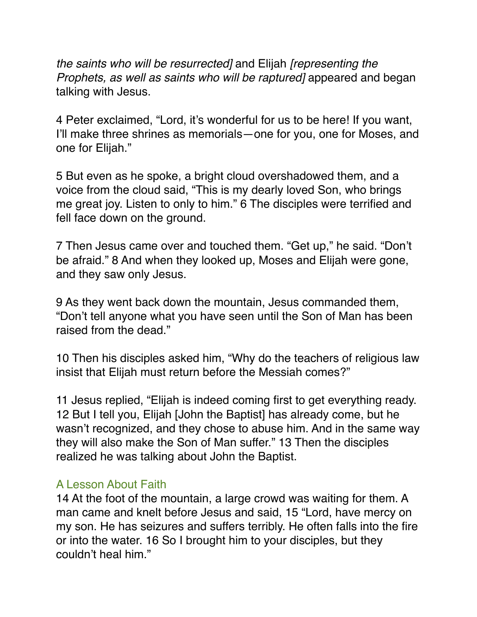*the saints who will be resurrected]* and Elijah *[representing the Prophets, as well as saints who will be raptured]* appeared and began talking with Jesus.

4 Peter exclaimed, "Lord, it's wonderful for us to be here! If you want, I'll make three shrines as memorials—one for you, one for Moses, and one for Elijah."

5 But even as he spoke, a bright cloud overshadowed them, and a voice from the cloud said, "This is my dearly loved Son, who brings me great joy. Listen to only to him." 6 The disciples were terrified and fell face down on the ground.

7 Then Jesus came over and touched them. "Get up," he said. "Don't be afraid." 8 And when they looked up, Moses and Elijah were gone, and they saw only Jesus.

9 As they went back down the mountain, Jesus commanded them, "Don't tell anyone what you have seen until the Son of Man has been raised from the dead."

10 Then his disciples asked him, "Why do the teachers of religious law insist that Elijah must return before the Messiah comes?"

11 Jesus replied, "Elijah is indeed coming first to get everything ready. 12 But I tell you, Elijah [John the Baptist] has already come, but he wasn't recognized, and they chose to abuse him. And in the same way they will also make the Son of Man suffer." 13 Then the disciples realized he was talking about John the Baptist.

#### A Lesson About Faith

14 At the foot of the mountain, a large crowd was waiting for them. A man came and knelt before Jesus and said, 15 "Lord, have mercy on my son. He has seizures and suffers terribly. He often falls into the fire or into the water. 16 So I brought him to your disciples, but they couldn't heal him."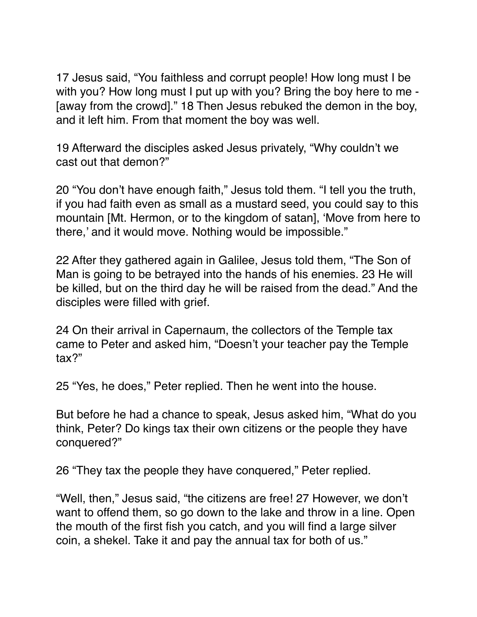17 Jesus said, "You faithless and corrupt people! How long must I be with you? How long must I put up with you? Bring the boy here to me - [away from the crowd]." 18 Then Jesus rebuked the demon in the boy, and it left him. From that moment the boy was well.

19 Afterward the disciples asked Jesus privately, "Why couldn't we cast out that demon?"

20 "You don't have enough faith," Jesus told them. "I tell you the truth, if you had faith even as small as a mustard seed, you could say to this mountain [Mt. Hermon, or to the kingdom of satan], 'Move from here to there,' and it would move. Nothing would be impossible."

22 After they gathered again in Galilee, Jesus told them, "The Son of Man is going to be betrayed into the hands of his enemies. 23 He will be killed, but on the third day he will be raised from the dead." And the disciples were filled with grief.

24 On their arrival in Capernaum, the collectors of the Temple tax came to Peter and asked him, "Doesn't your teacher pay the Temple tax?"

25 "Yes, he does," Peter replied. Then he went into the house.

But before he had a chance to speak, Jesus asked him, "What do you think, Peter? Do kings tax their own citizens or the people they have conquered?"

26 "They tax the people they have conquered," Peter replied.

"Well, then," Jesus said, "the citizens are free! 27 However, we don't want to offend them, so go down to the lake and throw in a line. Open the mouth of the first fish you catch, and you will find a large silver coin, a shekel. Take it and pay the annual tax for both of us."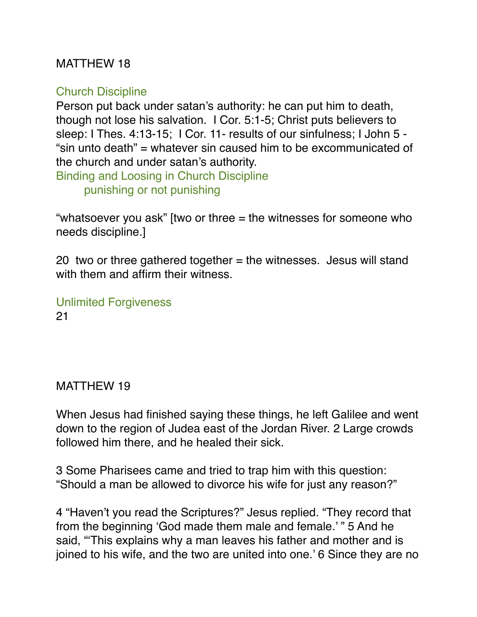## MATTHEW 18

## Church Discipline

Person put back under satan's authority: he can put him to death, though not lose his salvation. I Cor. 5:1-5; Christ puts believers to sleep: I Thes. 4:13-15; I Cor. 11- results of our sinfulness; I John 5 - "sin unto death" = whatever sin caused him to be excommunicated of the church and under satan's authority.

Binding and Loosing in Church Discipline punishing or not punishing

"whatsoever you ask" [two or three = the witnesses for someone who needs discipline.]

20 two or three gathered together  $=$  the witnesses. Jesus will stand with them and affirm their witness.

Unlimited Forgiveness 21

MATTHEW 19

When Jesus had finished saying these things, he left Galilee and went down to the region of Judea east of the Jordan River. 2 Large crowds followed him there, and he healed their sick.

3 Some Pharisees came and tried to trap him with this question: "Should a man be allowed to divorce his wife for just any reason?"

4 "Haven't you read the Scriptures?" Jesus replied. "They record that from the beginning 'God made them male and female.' " 5 And he said, "'This explains why a man leaves his father and mother and is joined to his wife, and the two are united into one.' 6 Since they are no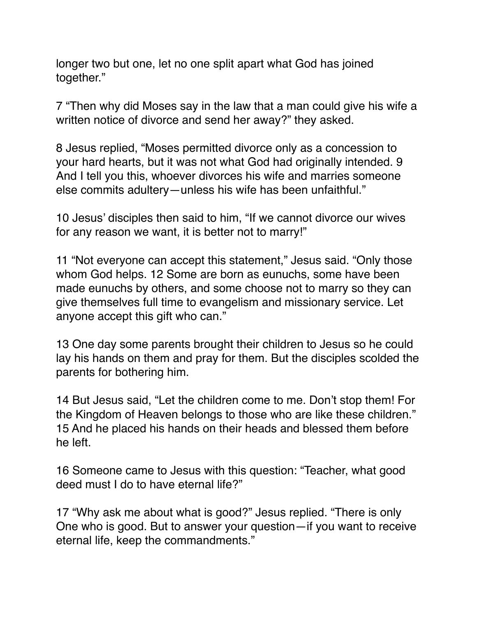longer two but one, let no one split apart what God has joined together."

7 "Then why did Moses say in the law that a man could give his wife a written notice of divorce and send her away?" they asked.

8 Jesus replied, "Moses permitted divorce only as a concession to your hard hearts, but it was not what God had originally intended. 9 And I tell you this, whoever divorces his wife and marries someone else commits adultery—unless his wife has been unfaithful."

10 Jesus' disciples then said to him, "If we cannot divorce our wives for any reason we want, it is better not to marry!"

11 "Not everyone can accept this statement," Jesus said. "Only those whom God helps. 12 Some are born as eunuchs, some have been made eunuchs by others, and some choose not to marry so they can give themselves full time to evangelism and missionary service. Let anyone accept this gift who can."

13 One day some parents brought their children to Jesus so he could lay his hands on them and pray for them. But the disciples scolded the parents for bothering him.

14 But Jesus said, "Let the children come to me. Don't stop them! For the Kingdom of Heaven belongs to those who are like these children." 15 And he placed his hands on their heads and blessed them before he left.

16 Someone came to Jesus with this question: "Teacher, what good deed must I do to have eternal life?"

17 "Why ask me about what is good?" Jesus replied. "There is only One who is good. But to answer your question—if you want to receive eternal life, keep the commandments."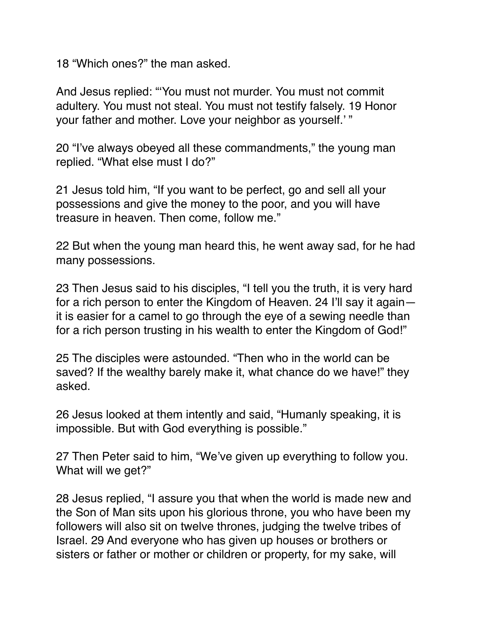18 "Which ones?" the man asked.

And Jesus replied: "'You must not murder. You must not commit adultery. You must not steal. You must not testify falsely. 19 Honor your father and mother. Love your neighbor as yourself.' "

20 "I've always obeyed all these commandments," the young man replied. "What else must I do?"

21 Jesus told him, "If you want to be perfect, go and sell all your possessions and give the money to the poor, and you will have treasure in heaven. Then come, follow me."

22 But when the young man heard this, he went away sad, for he had many possessions.

23 Then Jesus said to his disciples, "I tell you the truth, it is very hard for a rich person to enter the Kingdom of Heaven. 24 I'll say it again it is easier for a camel to go through the eye of a sewing needle than for a rich person trusting in his wealth to enter the Kingdom of God!"

25 The disciples were astounded. "Then who in the world can be saved? If the wealthy barely make it, what chance do we have!" they asked.

26 Jesus looked at them intently and said, "Humanly speaking, it is impossible. But with God everything is possible."

27 Then Peter said to him, "We've given up everything to follow you. What will we get?"

28 Jesus replied, "I assure you that when the world is made new and the Son of Man sits upon his glorious throne, you who have been my followers will also sit on twelve thrones, judging the twelve tribes of Israel. 29 And everyone who has given up houses or brothers or sisters or father or mother or children or property, for my sake, will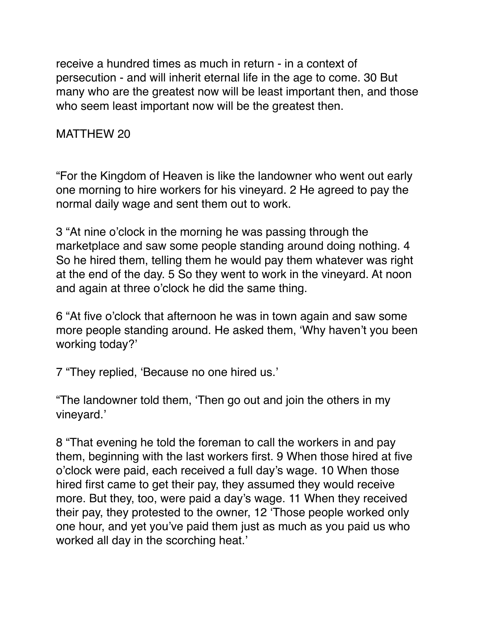receive a hundred times as much in return - in a context of persecution - and will inherit eternal life in the age to come. 30 But many who are the greatest now will be least important then, and those who seem least important now will be the greatest then.

## MATTHEW 20

"For the Kingdom of Heaven is like the landowner who went out early one morning to hire workers for his vineyard. 2 He agreed to pay the normal daily wage and sent them out to work.

3 "At nine o'clock in the morning he was passing through the marketplace and saw some people standing around doing nothing. 4 So he hired them, telling them he would pay them whatever was right at the end of the day. 5 So they went to work in the vineyard. At noon and again at three o'clock he did the same thing.

6 "At five o'clock that afternoon he was in town again and saw some more people standing around. He asked them, 'Why haven't you been working today?'

7 "They replied, 'Because no one hired us.'

"The landowner told them, 'Then go out and join the others in my vineyard.'

8 "That evening he told the foreman to call the workers in and pay them, beginning with the last workers first. 9 When those hired at five o'clock were paid, each received a full day's wage. 10 When those hired first came to get their pay, they assumed they would receive more. But they, too, were paid a day's wage. 11 When they received their pay, they protested to the owner, 12 'Those people worked only one hour, and yet you've paid them just as much as you paid us who worked all day in the scorching heat.'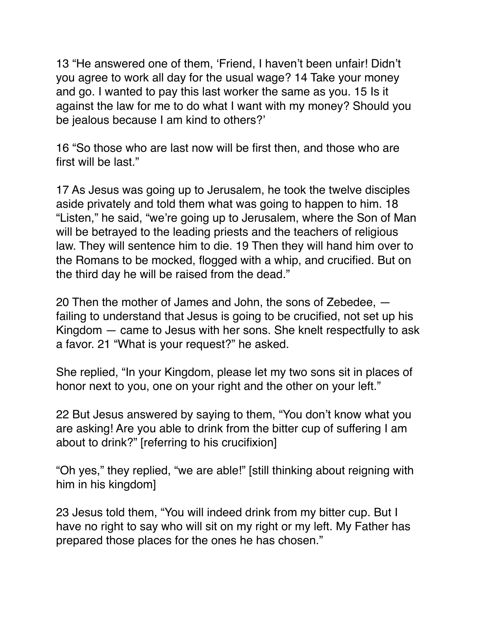13 "He answered one of them, 'Friend, I haven't been unfair! Didn't you agree to work all day for the usual wage? 14 Take your money and go. I wanted to pay this last worker the same as you. 15 Is it against the law for me to do what I want with my money? Should you be jealous because I am kind to others?'

16 "So those who are last now will be first then, and those who are first will be last."

17 As Jesus was going up to Jerusalem, he took the twelve disciples aside privately and told them what was going to happen to him. 18 "Listen," he said, "we're going up to Jerusalem, where the Son of Man will be betrayed to the leading priests and the teachers of religious law. They will sentence him to die. 19 Then they will hand him over to the Romans to be mocked, flogged with a whip, and crucified. But on the third day he will be raised from the dead."

20 Then the mother of James and John, the sons of Zebedee, failing to understand that Jesus is going to be crucified, not set up his Kingdom — came to Jesus with her sons. She knelt respectfully to ask a favor. 21 "What is your request?" he asked.

She replied, "In your Kingdom, please let my two sons sit in places of honor next to you, one on your right and the other on your left."

22 But Jesus answered by saying to them, "You don't know what you are asking! Are you able to drink from the bitter cup of suffering I am about to drink?" [referring to his crucifixion]

"Oh yes," they replied, "we are able!" [still thinking about reigning with him in his kingdom]

23 Jesus told them, "You will indeed drink from my bitter cup. But I have no right to say who will sit on my right or my left. My Father has prepared those places for the ones he has chosen."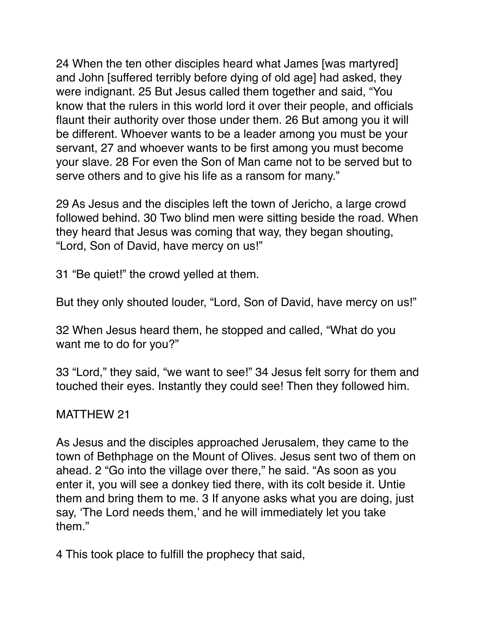24 When the ten other disciples heard what James [was martyred] and John [suffered terribly before dying of old age] had asked, they were indignant. 25 But Jesus called them together and said, "You know that the rulers in this world lord it over their people, and officials flaunt their authority over those under them. 26 But among you it will be different. Whoever wants to be a leader among you must be your servant, 27 and whoever wants to be first among you must become your slave. 28 For even the Son of Man came not to be served but to serve others and to give his life as a ransom for many."

29 As Jesus and the disciples left the town of Jericho, a large crowd followed behind. 30 Two blind men were sitting beside the road. When they heard that Jesus was coming that way, they began shouting, "Lord, Son of David, have mercy on us!"

31 "Be quiet!" the crowd yelled at them.

But they only shouted louder, "Lord, Son of David, have mercy on us!"

32 When Jesus heard them, he stopped and called, "What do you want me to do for you?"

33 "Lord," they said, "we want to see!" 34 Jesus felt sorry for them and touched their eyes. Instantly they could see! Then they followed him.

## MATTHEW 21

As Jesus and the disciples approached Jerusalem, they came to the town of Bethphage on the Mount of Olives. Jesus sent two of them on ahead. 2 "Go into the village over there," he said. "As soon as you enter it, you will see a donkey tied there, with its colt beside it. Untie them and bring them to me. 3 If anyone asks what you are doing, just say, 'The Lord needs them,' and he will immediately let you take them."

4 This took place to fulfill the prophecy that said,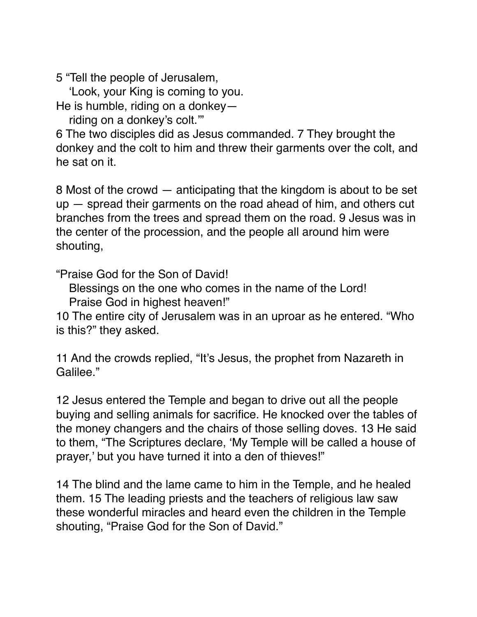5 "Tell the people of Jerusalem,

'Look, your King is coming to you.

He is humble, riding on a donkey—

riding on a donkey's colt.'"

6 The two disciples did as Jesus commanded. 7 They brought the donkey and the colt to him and threw their garments over the colt, and he sat on it.

8 Most of the crowd — anticipating that the kingdom is about to be set up — spread their garments on the road ahead of him, and others cut branches from the trees and spread them on the road. 9 Jesus was in the center of the procession, and the people all around him were shouting,

"Praise God for the Son of David!

Blessings on the one who comes in the name of the Lord!

Praise God in highest heaven!"

10 The entire city of Jerusalem was in an uproar as he entered. "Who is this?" they asked.

11 And the crowds replied, "It's Jesus, the prophet from Nazareth in Galilee."

12 Jesus entered the Temple and began to drive out all the people buying and selling animals for sacrifice. He knocked over the tables of the money changers and the chairs of those selling doves. 13 He said to them, "The Scriptures declare, 'My Temple will be called a house of prayer,' but you have turned it into a den of thieves!"

14 The blind and the lame came to him in the Temple, and he healed them. 15 The leading priests and the teachers of religious law saw these wonderful miracles and heard even the children in the Temple shouting, "Praise God for the Son of David."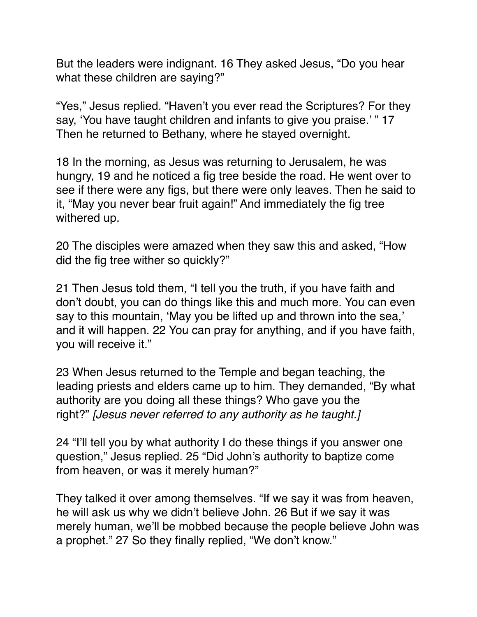But the leaders were indignant. 16 They asked Jesus, "Do you hear what these children are saying?"

"Yes," Jesus replied. "Haven't you ever read the Scriptures? For they say, 'You have taught children and infants to give you praise.' " 17 Then he returned to Bethany, where he stayed overnight.

18 In the morning, as Jesus was returning to Jerusalem, he was hungry, 19 and he noticed a fig tree beside the road. He went over to see if there were any figs, but there were only leaves. Then he said to it, "May you never bear fruit again!" And immediately the fig tree withered up.

20 The disciples were amazed when they saw this and asked, "How did the fig tree wither so quickly?"

21 Then Jesus told them, "I tell you the truth, if you have faith and don't doubt, you can do things like this and much more. You can even say to this mountain, 'May you be lifted up and thrown into the sea,' and it will happen. 22 You can pray for anything, and if you have faith, you will receive it."

23 When Jesus returned to the Temple and began teaching, the leading priests and elders came up to him. They demanded, "By what authority are you doing all these things? Who gave you the right?" *[Jesus never referred to any authority as he taught.]*

24 "I'll tell you by what authority I do these things if you answer one question," Jesus replied. 25 "Did John's authority to baptize come from heaven, or was it merely human?"

They talked it over among themselves. "If we say it was from heaven, he will ask us why we didn't believe John. 26 But if we say it was merely human, we'll be mobbed because the people believe John was a prophet." 27 So they finally replied, "We don't know."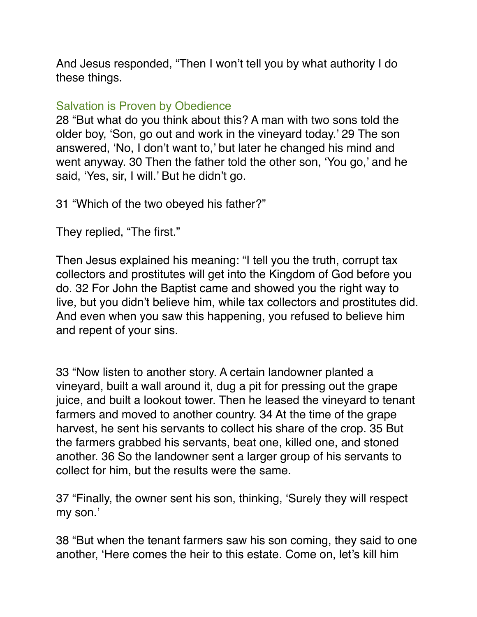And Jesus responded, "Then I won't tell you by what authority I do these things.

### Salvation is Proven by Obedience

28 "But what do you think about this? A man with two sons told the older boy, 'Son, go out and work in the vineyard today.' 29 The son answered, 'No, I don't want to,' but later he changed his mind and went anyway. 30 Then the father told the other son, 'You go,' and he said, 'Yes, sir, I will.' But he didn't go.

31 "Which of the two obeyed his father?"

They replied, "The first."

Then Jesus explained his meaning: "I tell you the truth, corrupt tax collectors and prostitutes will get into the Kingdom of God before you do. 32 For John the Baptist came and showed you the right way to live, but you didn't believe him, while tax collectors and prostitutes did. And even when you saw this happening, you refused to believe him and repent of your sins.

33 "Now listen to another story. A certain landowner planted a vineyard, built a wall around it, dug a pit for pressing out the grape juice, and built a lookout tower. Then he leased the vineyard to tenant farmers and moved to another country. 34 At the time of the grape harvest, he sent his servants to collect his share of the crop. 35 But the farmers grabbed his servants, beat one, killed one, and stoned another. 36 So the landowner sent a larger group of his servants to collect for him, but the results were the same.

37 "Finally, the owner sent his son, thinking, 'Surely they will respect my son.'

38 "But when the tenant farmers saw his son coming, they said to one another, 'Here comes the heir to this estate. Come on, let's kill him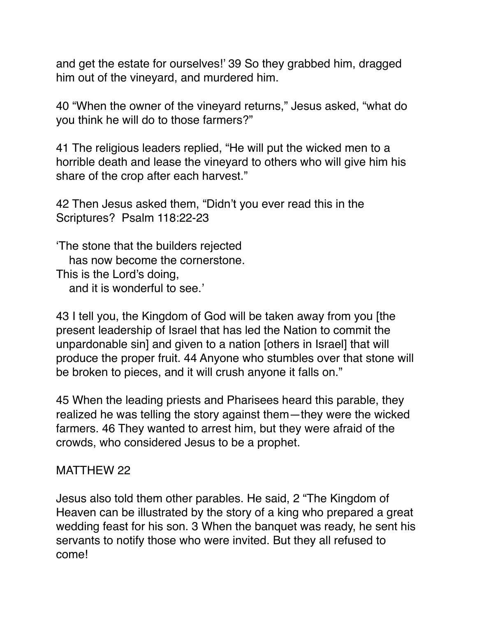and get the estate for ourselves!' 39 So they grabbed him, dragged him out of the vineyard, and murdered him.

40 "When the owner of the vineyard returns," Jesus asked, "what do you think he will do to those farmers?"

41 The religious leaders replied, "He will put the wicked men to a horrible death and lease the vineyard to others who will give him his share of the crop after each harvest."

42 Then Jesus asked them, "Didn't you ever read this in the Scriptures? Psalm 118:22-23

'The stone that the builders rejected has now become the cornerstone. This is the Lord's doing, and it is wonderful to see.'

43 I tell you, the Kingdom of God will be taken away from you [the present leadership of Israel that has led the Nation to commit the unpardonable sin] and given to a nation [others in Israel] that will produce the proper fruit. 44 Anyone who stumbles over that stone will be broken to pieces, and it will crush anyone it falls on."

45 When the leading priests and Pharisees heard this parable, they realized he was telling the story against them—they were the wicked farmers. 46 They wanted to arrest him, but they were afraid of the crowds, who considered Jesus to be a prophet.

#### MATTHEW 22

Jesus also told them other parables. He said, 2 "The Kingdom of Heaven can be illustrated by the story of a king who prepared a great wedding feast for his son. 3 When the banquet was ready, he sent his servants to notify those who were invited. But they all refused to come!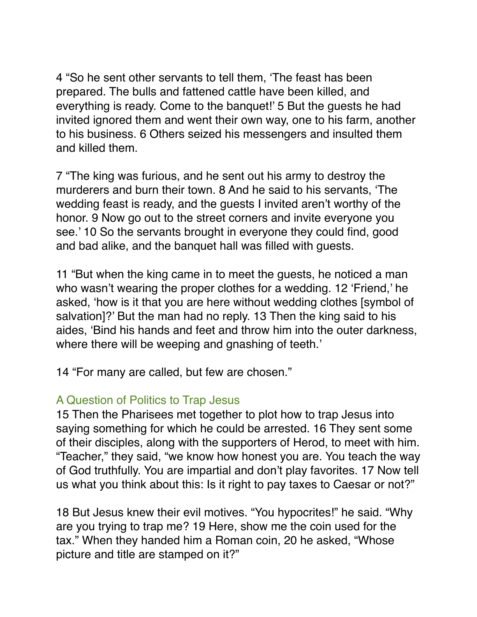4 "So he sent other servants to tell them, 'The feast has been prepared. The bulls and fattened cattle have been killed, and everything is ready. Come to the banquet!' 5 But the guests he had invited ignored them and went their own way, one to his farm, another to his business. 6 Others seized his messengers and insulted them and killed them.

7 "The king was furious, and he sent out his army to destroy the murderers and burn their town. 8 And he said to his servants, 'The wedding feast is ready, and the guests I invited aren't worthy of the honor. 9 Now go out to the street corners and invite everyone you see.' 10 So the servants brought in everyone they could find, good and bad alike, and the banquet hall was filled with guests.

11 "But when the king came in to meet the guests, he noticed a man who wasn't wearing the proper clothes for a wedding. 12 'Friend,' he asked, 'how is it that you are here without wedding clothes [symbol of salvation]?' But the man had no reply. 13 Then the king said to his aides, 'Bind his hands and feet and throw him into the outer darkness, where there will be weeping and gnashing of teeth.'

14 "For many are called, but few are chosen."

## A Question of Politics to Trap Jesus

15 Then the Pharisees met together to plot how to trap Jesus into saying something for which he could be arrested. 16 They sent some of their disciples, along with the supporters of Herod, to meet with him. "Teacher," they said, "we know how honest you are. You teach the way of God truthfully. You are impartial and don't play favorites. 17 Now tell us what you think about this: Is it right to pay taxes to Caesar or not?"

18 But Jesus knew their evil motives. "You hypocrites!" he said. "Why are you trying to trap me? 19 Here, show me the coin used for the tax." When they handed him a Roman coin, 20 he asked, "Whose picture and title are stamped on it?"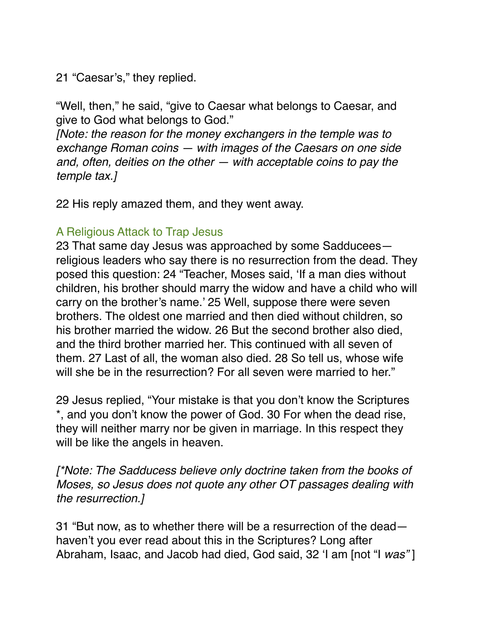21 "Caesar's," they replied.

"Well, then," he said, "give to Caesar what belongs to Caesar, and give to God what belongs to God."

*[Note: the reason for the money exchangers in the temple was to exchange Roman coins — with images of the Caesars on one side and, often, deities on the other — with acceptable coins to pay the temple tax.]*

22 His reply amazed them, and they went away.

## A Religious Attack to Trap Jesus

23 That same day Jesus was approached by some Sadducees religious leaders who say there is no resurrection from the dead. They posed this question: 24 "Teacher, Moses said, 'If a man dies without children, his brother should marry the widow and have a child who will carry on the brother's name.' 25 Well, suppose there were seven brothers. The oldest one married and then died without children, so his brother married the widow. 26 But the second brother also died, and the third brother married her. This continued with all seven of them. 27 Last of all, the woman also died. 28 So tell us, whose wife will she be in the resurrection? For all seven were married to her."

29 Jesus replied, "Your mistake is that you don't know the Scriptures \*, and you don't know the power of God. 30 For when the dead rise, they will neither marry nor be given in marriage. In this respect they will be like the angels in heaven.

*[\*Note: The Sadducess believe only doctrine taken from the books of Moses, so Jesus does not quote any other OT passages dealing with the resurrection.]*

31 "But now, as to whether there will be a resurrection of the dead haven't you ever read about this in the Scriptures? Long after Abraham, Isaac, and Jacob had died, God said, 32 'I am [not "I *was"* ]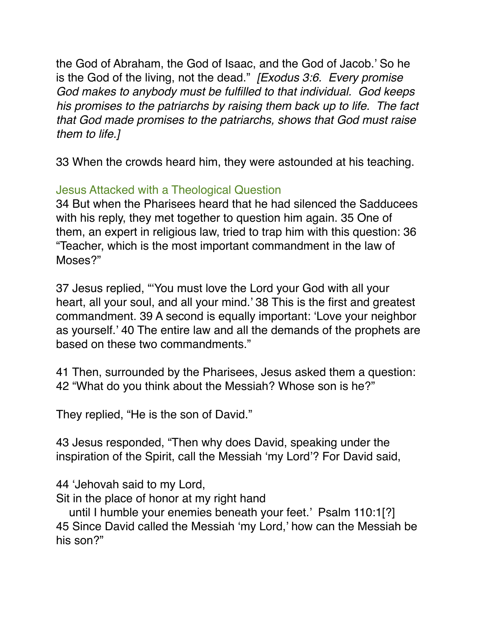the God of Abraham, the God of Isaac, and the God of Jacob.' So he is the God of the living, not the dead." *[Exodus 3:6. Every promise God makes to anybody must be fulfilled to that individual. God keeps his promises to the patriarchs by raising them back up to life. The fact that God made promises to the patriarchs, shows that God must raise them to life.]*

33 When the crowds heard him, they were astounded at his teaching.

# Jesus Attacked with a Theological Question

34 But when the Pharisees heard that he had silenced the Sadducees with his reply, they met together to question him again. 35 One of them, an expert in religious law, tried to trap him with this question: 36 "Teacher, which is the most important commandment in the law of Moses?"

37 Jesus replied, "'You must love the Lord your God with all your heart, all your soul, and all your mind.' 38 This is the first and greatest commandment. 39 A second is equally important: 'Love your neighbor as yourself.' 40 The entire law and all the demands of the prophets are based on these two commandments."

41 Then, surrounded by the Pharisees, Jesus asked them a question: 42 "What do you think about the Messiah? Whose son is he?"

They replied, "He is the son of David."

43 Jesus responded, "Then why does David, speaking under the inspiration of the Spirit, call the Messiah 'my Lord'? For David said,

44 'Jehovah said to my Lord,

Sit in the place of honor at my right hand

 until I humble your enemies beneath your feet.' Psalm 110:1[?] 45 Since David called the Messiah 'my Lord,' how can the Messiah be his son?"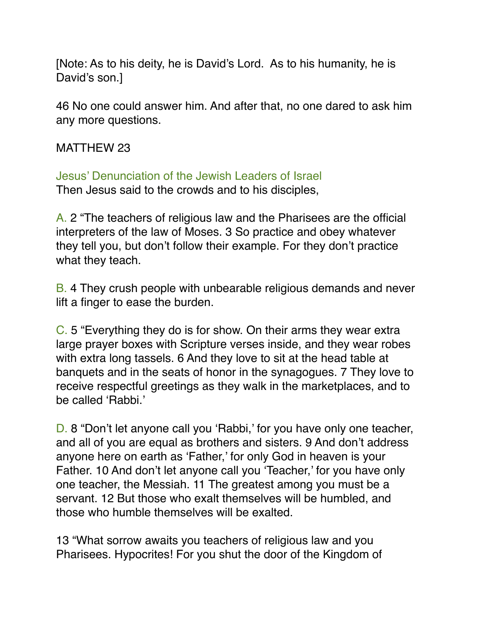[Note: As to his deity, he is David's Lord. As to his humanity, he is David's son.]

46 No one could answer him. And after that, no one dared to ask him any more questions.

#### MATTHEW 23

Jesus' Denunciation of the Jewish Leaders of Israel Then Jesus said to the crowds and to his disciples,

A. 2 "The teachers of religious law and the Pharisees are the official interpreters of the law of Moses. 3 So practice and obey whatever they tell you, but don't follow their example. For they don't practice what they teach.

B. 4 They crush people with unbearable religious demands and never lift a finger to ease the burden.

C. 5 "Everything they do is for show. On their arms they wear extra large prayer boxes with Scripture verses inside, and they wear robes with extra long tassels. 6 And they love to sit at the head table at banquets and in the seats of honor in the synagogues. 7 They love to receive respectful greetings as they walk in the marketplaces, and to be called 'Rabbi.'

D. 8 "Don't let anyone call you 'Rabbi,' for you have only one teacher, and all of you are equal as brothers and sisters. 9 And don't address anyone here on earth as 'Father,' for only God in heaven is your Father. 10 And don't let anyone call you 'Teacher,' for you have only one teacher, the Messiah. 11 The greatest among you must be a servant. 12 But those who exalt themselves will be humbled, and those who humble themselves will be exalted.

13 "What sorrow awaits you teachers of religious law and you Pharisees. Hypocrites! For you shut the door of the Kingdom of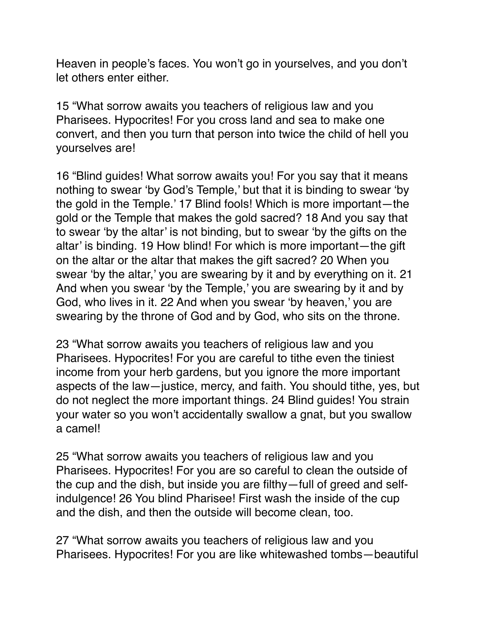Heaven in people's faces. You won't go in yourselves, and you don't let others enter either.

15 "What sorrow awaits you teachers of religious law and you Pharisees. Hypocrites! For you cross land and sea to make one convert, and then you turn that person into twice the child of hell you yourselves are!

16 "Blind guides! What sorrow awaits you! For you say that it means nothing to swear 'by God's Temple,' but that it is binding to swear 'by the gold in the Temple.' 17 Blind fools! Which is more important—the gold or the Temple that makes the gold sacred? 18 And you say that to swear 'by the altar' is not binding, but to swear 'by the gifts on the altar' is binding. 19 How blind! For which is more important—the gift on the altar or the altar that makes the gift sacred? 20 When you swear 'by the altar,' you are swearing by it and by everything on it. 21 And when you swear 'by the Temple,' you are swearing by it and by God, who lives in it. 22 And when you swear 'by heaven,' you are swearing by the throne of God and by God, who sits on the throne.

23 "What sorrow awaits you teachers of religious law and you Pharisees. Hypocrites! For you are careful to tithe even the tiniest income from your herb gardens, but you ignore the more important aspects of the law—justice, mercy, and faith. You should tithe, yes, but do not neglect the more important things. 24 Blind guides! You strain your water so you won't accidentally swallow a gnat, but you swallow a camel!

25 "What sorrow awaits you teachers of religious law and you Pharisees. Hypocrites! For you are so careful to clean the outside of the cup and the dish, but inside you are filthy—full of greed and selfindulgence! 26 You blind Pharisee! First wash the inside of the cup and the dish, and then the outside will become clean, too.

27 "What sorrow awaits you teachers of religious law and you Pharisees. Hypocrites! For you are like whitewashed tombs—beautiful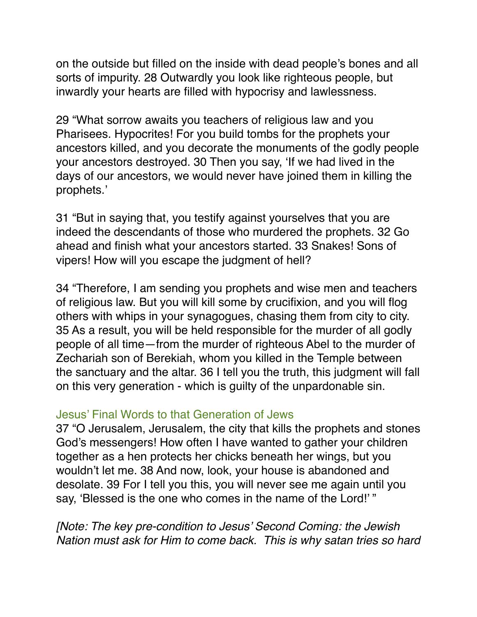on the outside but filled on the inside with dead people's bones and all sorts of impurity. 28 Outwardly you look like righteous people, but inwardly your hearts are filled with hypocrisy and lawlessness.

29 "What sorrow awaits you teachers of religious law and you Pharisees. Hypocrites! For you build tombs for the prophets your ancestors killed, and you decorate the monuments of the godly people your ancestors destroyed. 30 Then you say, 'If we had lived in the days of our ancestors, we would never have joined them in killing the prophets.'

31 "But in saying that, you testify against yourselves that you are indeed the descendants of those who murdered the prophets. 32 Go ahead and finish what your ancestors started. 33 Snakes! Sons of vipers! How will you escape the judgment of hell?

34 "Therefore, I am sending you prophets and wise men and teachers of religious law. But you will kill some by crucifixion, and you will flog others with whips in your synagogues, chasing them from city to city. 35 As a result, you will be held responsible for the murder of all godly people of all time—from the murder of righteous Abel to the murder of Zechariah son of Berekiah, whom you killed in the Temple between the sanctuary and the altar. 36 I tell you the truth, this judgment will fall on this very generation - which is guilty of the unpardonable sin.

#### Jesus' Final Words to that Generation of Jews

37 "O Jerusalem, Jerusalem, the city that kills the prophets and stones God's messengers! How often I have wanted to gather your children together as a hen protects her chicks beneath her wings, but you wouldn't let me. 38 And now, look, your house is abandoned and desolate. 39 For I tell you this, you will never see me again until you say, 'Blessed is the one who comes in the name of the Lord!' "

*[Note: The key pre-condition to Jesus' Second Coming: the Jewish Nation must ask for Him to come back. This is why satan tries so hard*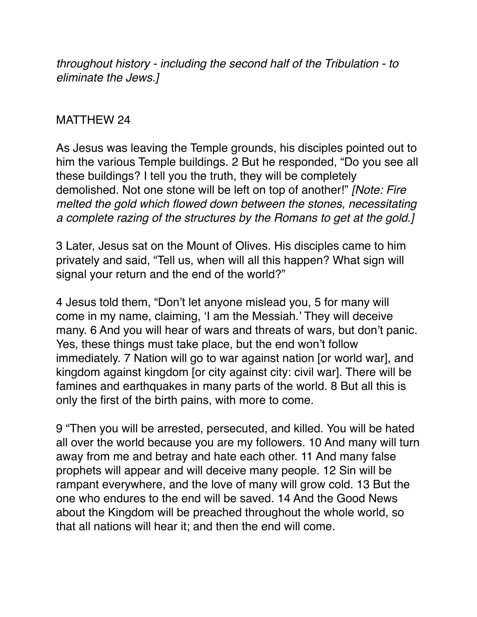*throughout history - including the second half of the Tribulation - to eliminate the Jews.]*

#### MATTHEW 24

As Jesus was leaving the Temple grounds, his disciples pointed out to him the various Temple buildings. 2 But he responded, "Do you see all these buildings? I tell you the truth, they will be completely demolished. Not one stone will be left on top of another!" *[Note: Fire melted the gold which flowed down between the stones, necessitating a complete razing of the structures by the Romans to get at the gold.]*

3 Later, Jesus sat on the Mount of Olives. His disciples came to him privately and said, "Tell us, when will all this happen? What sign will signal your return and the end of the world?"

4 Jesus told them, "Don't let anyone mislead you, 5 for many will come in my name, claiming, 'I am the Messiah.' They will deceive many. 6 And you will hear of wars and threats of wars, but don't panic. Yes, these things must take place, but the end won't follow immediately. 7 Nation will go to war against nation [or world war], and kingdom against kingdom [or city against city: civil war]. There will be famines and earthquakes in many parts of the world. 8 But all this is only the first of the birth pains, with more to come.

9 "Then you will be arrested, persecuted, and killed. You will be hated all over the world because you are my followers. 10 And many will turn away from me and betray and hate each other. 11 And many false prophets will appear and will deceive many people. 12 Sin will be rampant everywhere, and the love of many will grow cold. 13 But the one who endures to the end will be saved. 14 And the Good News about the Kingdom will be preached throughout the whole world, so that all nations will hear it; and then the end will come.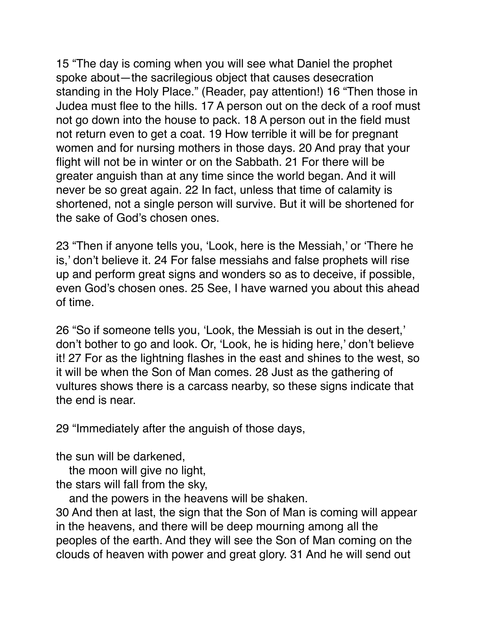15 "The day is coming when you will see what Daniel the prophet spoke about—the sacrilegious object that causes desecration standing in the Holy Place." (Reader, pay attention!) 16 "Then those in Judea must flee to the hills. 17 A person out on the deck of a roof must not go down into the house to pack. 18 A person out in the field must not return even to get a coat. 19 How terrible it will be for pregnant women and for nursing mothers in those days. 20 And pray that your flight will not be in winter or on the Sabbath. 21 For there will be greater anguish than at any time since the world began. And it will never be so great again. 22 In fact, unless that time of calamity is shortened, not a single person will survive. But it will be shortened for the sake of God's chosen ones.

23 "Then if anyone tells you, 'Look, here is the Messiah,' or 'There he is,' don't believe it. 24 For false messiahs and false prophets will rise up and perform great signs and wonders so as to deceive, if possible, even God's chosen ones. 25 See, I have warned you about this ahead of time.

26 "So if someone tells you, 'Look, the Messiah is out in the desert,' don't bother to go and look. Or, 'Look, he is hiding here,' don't believe it! 27 For as the lightning flashes in the east and shines to the west, so it will be when the Son of Man comes. 28 Just as the gathering of vultures shows there is a carcass nearby, so these signs indicate that the end is near.

29 "Immediately after the anguish of those days,

the sun will be darkened,

 the moon will give no light, the stars will fall from the sky,

and the powers in the heavens will be shaken.

30 And then at last, the sign that the Son of Man is coming will appear in the heavens, and there will be deep mourning among all the peoples of the earth. And they will see the Son of Man coming on the clouds of heaven with power and great glory. 31 And he will send out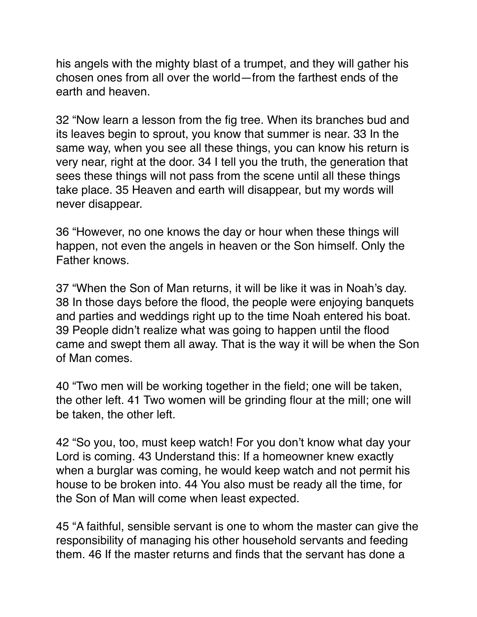his angels with the mighty blast of a trumpet, and they will gather his chosen ones from all over the world—from the farthest ends of the earth and heaven.

32 "Now learn a lesson from the fig tree. When its branches bud and its leaves begin to sprout, you know that summer is near. 33 In the same way, when you see all these things, you can know his return is very near, right at the door. 34 I tell you the truth, the generation that sees these things will not pass from the scene until all these things take place. 35 Heaven and earth will disappear, but my words will never disappear.

36 "However, no one knows the day or hour when these things will happen, not even the angels in heaven or the Son himself. Only the Father knows.

37 "When the Son of Man returns, it will be like it was in Noah's day. 38 In those days before the flood, the people were enjoying banquets and parties and weddings right up to the time Noah entered his boat. 39 People didn't realize what was going to happen until the flood came and swept them all away. That is the way it will be when the Son of Man comes.

40 "Two men will be working together in the field; one will be taken, the other left. 41 Two women will be grinding flour at the mill; one will be taken, the other left.

42 "So you, too, must keep watch! For you don't know what day your Lord is coming. 43 Understand this: If a homeowner knew exactly when a burglar was coming, he would keep watch and not permit his house to be broken into. 44 You also must be ready all the time, for the Son of Man will come when least expected.

45 "A faithful, sensible servant is one to whom the master can give the responsibility of managing his other household servants and feeding them. 46 If the master returns and finds that the servant has done a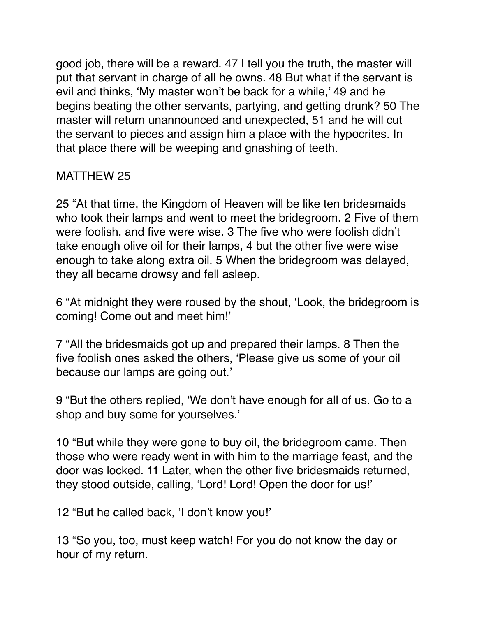good job, there will be a reward. 47 I tell you the truth, the master will put that servant in charge of all he owns. 48 But what if the servant is evil and thinks, 'My master won't be back for a while,' 49 and he begins beating the other servants, partying, and getting drunk? 50 The master will return unannounced and unexpected, 51 and he will cut the servant to pieces and assign him a place with the hypocrites. In that place there will be weeping and gnashing of teeth.

# MATTHEW 25

25 "At that time, the Kingdom of Heaven will be like ten bridesmaids who took their lamps and went to meet the bridegroom. 2 Five of them were foolish, and five were wise. 3 The five who were foolish didn't take enough olive oil for their lamps, 4 but the other five were wise enough to take along extra oil. 5 When the bridegroom was delayed, they all became drowsy and fell asleep.

6 "At midnight they were roused by the shout, 'Look, the bridegroom is coming! Come out and meet him!'

7 "All the bridesmaids got up and prepared their lamps. 8 Then the five foolish ones asked the others, 'Please give us some of your oil because our lamps are going out.'

9 "But the others replied, 'We don't have enough for all of us. Go to a shop and buy some for yourselves.'

10 "But while they were gone to buy oil, the bridegroom came. Then those who were ready went in with him to the marriage feast, and the door was locked. 11 Later, when the other five bridesmaids returned, they stood outside, calling, 'Lord! Lord! Open the door for us!'

12 "But he called back, 'I don't know you!'

13 "So you, too, must keep watch! For you do not know the day or hour of my return.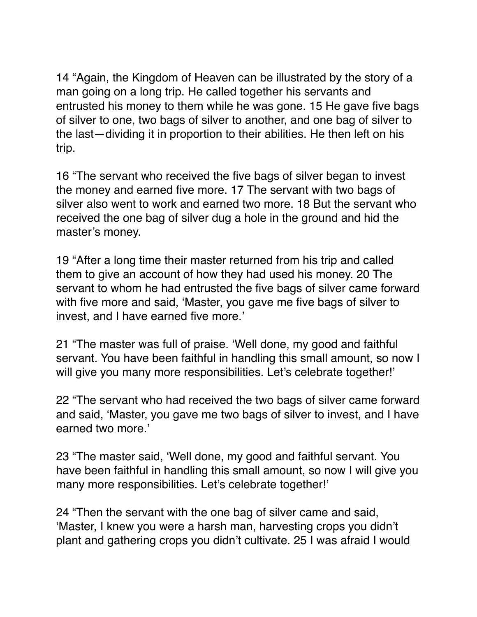14 "Again, the Kingdom of Heaven can be illustrated by the story of a man going on a long trip. He called together his servants and entrusted his money to them while he was gone. 15 He gave five bags of silver to one, two bags of silver to another, and one bag of silver to the last—dividing it in proportion to their abilities. He then left on his trip.

16 "The servant who received the five bags of silver began to invest the money and earned five more. 17 The servant with two bags of silver also went to work and earned two more. 18 But the servant who received the one bag of silver dug a hole in the ground and hid the master's money.

19 "After a long time their master returned from his trip and called them to give an account of how they had used his money. 20 The servant to whom he had entrusted the five bags of silver came forward with five more and said, 'Master, you gave me five bags of silver to invest, and I have earned five more.'

21 "The master was full of praise. 'Well done, my good and faithful servant. You have been faithful in handling this small amount, so now I will give you many more responsibilities. Let's celebrate together!'

22 "The servant who had received the two bags of silver came forward and said, 'Master, you gave me two bags of silver to invest, and I have earned two more.'

23 "The master said, 'Well done, my good and faithful servant. You have been faithful in handling this small amount, so now I will give you many more responsibilities. Let's celebrate together!'

24 "Then the servant with the one bag of silver came and said, 'Master, I knew you were a harsh man, harvesting crops you didn't plant and gathering crops you didn't cultivate. 25 I was afraid I would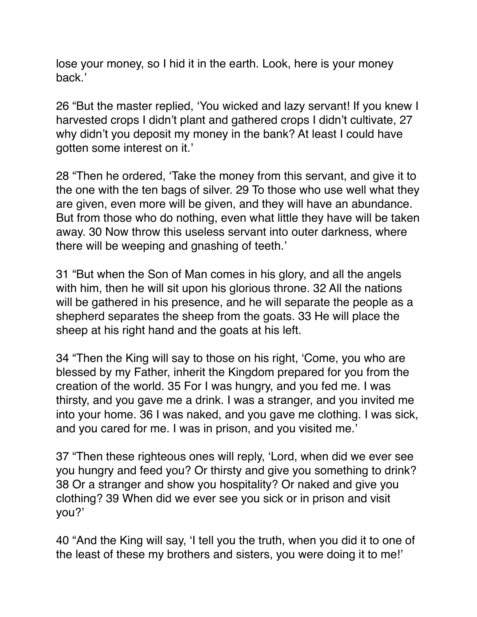lose your money, so I hid it in the earth. Look, here is your money back.'

26 "But the master replied, 'You wicked and lazy servant! If you knew I harvested crops I didn't plant and gathered crops I didn't cultivate, 27 why didn't you deposit my money in the bank? At least I could have gotten some interest on it.'

28 "Then he ordered, 'Take the money from this servant, and give it to the one with the ten bags of silver. 29 To those who use well what they are given, even more will be given, and they will have an abundance. But from those who do nothing, even what little they have will be taken away. 30 Now throw this useless servant into outer darkness, where there will be weeping and gnashing of teeth.'

31 "But when the Son of Man comes in his glory, and all the angels with him, then he will sit upon his glorious throne. 32 All the nations will be gathered in his presence, and he will separate the people as a shepherd separates the sheep from the goats. 33 He will place the sheep at his right hand and the goats at his left.

34 "Then the King will say to those on his right, 'Come, you who are blessed by my Father, inherit the Kingdom prepared for you from the creation of the world. 35 For I was hungry, and you fed me. I was thirsty, and you gave me a drink. I was a stranger, and you invited me into your home. 36 I was naked, and you gave me clothing. I was sick, and you cared for me. I was in prison, and you visited me.'

37 "Then these righteous ones will reply, 'Lord, when did we ever see you hungry and feed you? Or thirsty and give you something to drink? 38 Or a stranger and show you hospitality? Or naked and give you clothing? 39 When did we ever see you sick or in prison and visit you?'

40 "And the King will say, 'I tell you the truth, when you did it to one of the least of these my brothers and sisters, you were doing it to me!'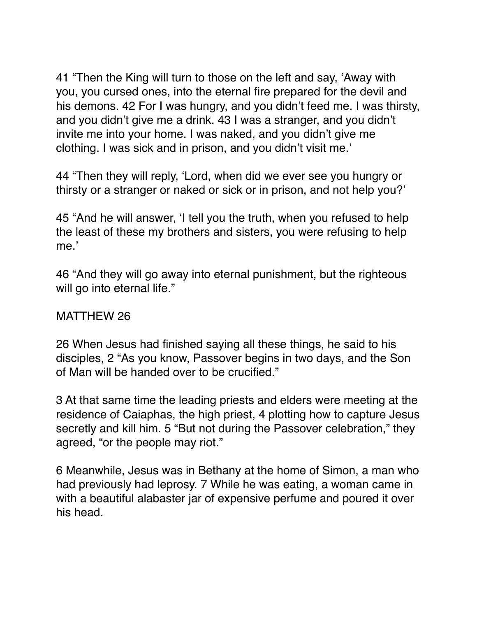41 "Then the King will turn to those on the left and say, 'Away with you, you cursed ones, into the eternal fire prepared for the devil and his demons. 42 For I was hungry, and you didn't feed me. I was thirsty, and you didn't give me a drink. 43 I was a stranger, and you didn't invite me into your home. I was naked, and you didn't give me clothing. I was sick and in prison, and you didn't visit me.'

44 "Then they will reply, 'Lord, when did we ever see you hungry or thirsty or a stranger or naked or sick or in prison, and not help you?'

45 "And he will answer, 'I tell you the truth, when you refused to help the least of these my brothers and sisters, you were refusing to help me.'

46 "And they will go away into eternal punishment, but the righteous will go into eternal life."

#### MATTHEW 26

26 When Jesus had finished saying all these things, he said to his disciples, 2 "As you know, Passover begins in two days, and the Son of Man will be handed over to be crucified."

3 At that same time the leading priests and elders were meeting at the residence of Caiaphas, the high priest, 4 plotting how to capture Jesus secretly and kill him. 5 "But not during the Passover celebration," they agreed, "or the people may riot."

6 Meanwhile, Jesus was in Bethany at the home of Simon, a man who had previously had leprosy. 7 While he was eating, a woman came in with a beautiful alabaster jar of expensive perfume and poured it over his head.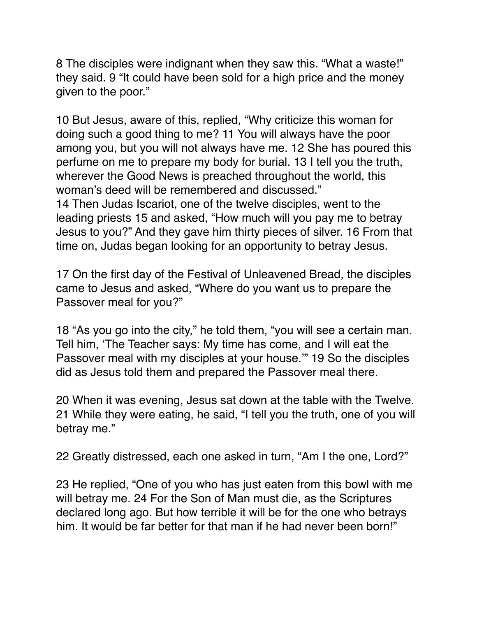8 The disciples were indignant when they saw this. "What a waste!" they said. 9 "It could have been sold for a high price and the money given to the poor."

10 But Jesus, aware of this, replied, "Why criticize this woman for doing such a good thing to me? 11 You will always have the poor among you, but you will not always have me. 12 She has poured this perfume on me to prepare my body for burial. 13 I tell you the truth, wherever the Good News is preached throughout the world, this woman's deed will be remembered and discussed." 14 Then Judas Iscariot, one of the twelve disciples, went to the leading priests 15 and asked, "How much will you pay me to betray Jesus to you?" And they gave him thirty pieces of silver. 16 From that time on, Judas began looking for an opportunity to betray Jesus.

17 On the first day of the Festival of Unleavened Bread, the disciples came to Jesus and asked, "Where do you want us to prepare the Passover meal for you?"

18 "As you go into the city," he told them, "you will see a certain man. Tell him, 'The Teacher says: My time has come, and I will eat the Passover meal with my disciples at your house.'" 19 So the disciples did as Jesus told them and prepared the Passover meal there.

20 When it was evening, Jesus sat down at the table with the Twelve. 21 While they were eating, he said, "I tell you the truth, one of you will betray me."

22 Greatly distressed, each one asked in turn, "Am I the one, Lord?"

23 He replied, "One of you who has just eaten from this bowl with me will betray me. 24 For the Son of Man must die, as the Scriptures declared long ago. But how terrible it will be for the one who betrays him. It would be far better for that man if he had never been born!"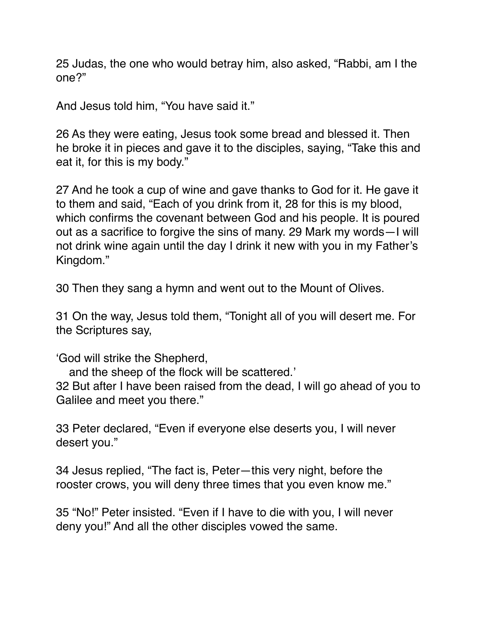25 Judas, the one who would betray him, also asked, "Rabbi, am I the one?"

And Jesus told him, "You have said it."

26 As they were eating, Jesus took some bread and blessed it. Then he broke it in pieces and gave it to the disciples, saying, "Take this and eat it, for this is my body."

27 And he took a cup of wine and gave thanks to God for it. He gave it to them and said, "Each of you drink from it, 28 for this is my blood, which confirms the covenant between God and his people. It is poured out as a sacrifice to forgive the sins of many. 29 Mark my words—I will not drink wine again until the day I drink it new with you in my Father's Kingdom."

30 Then they sang a hymn and went out to the Mount of Olives.

31 On the way, Jesus told them, "Tonight all of you will desert me. For the Scriptures say,

'God will strike the Shepherd,

and the sheep of the flock will be scattered.'

32 But after I have been raised from the dead, I will go ahead of you to Galilee and meet you there."

33 Peter declared, "Even if everyone else deserts you, I will never desert you."

34 Jesus replied, "The fact is, Peter—this very night, before the rooster crows, you will deny three times that you even know me."

35 "No!" Peter insisted. "Even if I have to die with you, I will never deny you!" And all the other disciples vowed the same.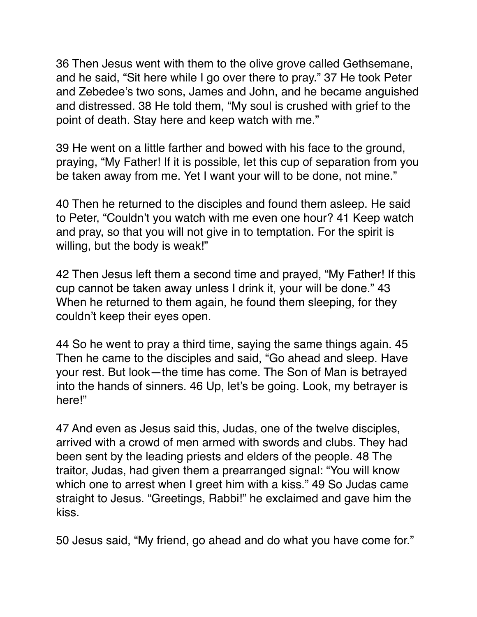36 Then Jesus went with them to the olive grove called Gethsemane, and he said, "Sit here while I go over there to pray." 37 He took Peter and Zebedee's two sons, James and John, and he became anguished and distressed. 38 He told them, "My soul is crushed with grief to the point of death. Stay here and keep watch with me."

39 He went on a little farther and bowed with his face to the ground, praying, "My Father! If it is possible, let this cup of separation from you be taken away from me. Yet I want your will to be done, not mine."

40 Then he returned to the disciples and found them asleep. He said to Peter, "Couldn't you watch with me even one hour? 41 Keep watch and pray, so that you will not give in to temptation. For the spirit is willing, but the body is weak!"

42 Then Jesus left them a second time and prayed, "My Father! If this cup cannot be taken away unless I drink it, your will be done." 43 When he returned to them again, he found them sleeping, for they couldn't keep their eyes open.

44 So he went to pray a third time, saying the same things again. 45 Then he came to the disciples and said, "Go ahead and sleep. Have your rest. But look—the time has come. The Son of Man is betrayed into the hands of sinners. 46 Up, let's be going. Look, my betrayer is here!"

47 And even as Jesus said this, Judas, one of the twelve disciples, arrived with a crowd of men armed with swords and clubs. They had been sent by the leading priests and elders of the people. 48 The traitor, Judas, had given them a prearranged signal: "You will know which one to arrest when I greet him with a kiss." 49 So Judas came straight to Jesus. "Greetings, Rabbi!" he exclaimed and gave him the kiss.

50 Jesus said, "My friend, go ahead and do what you have come for."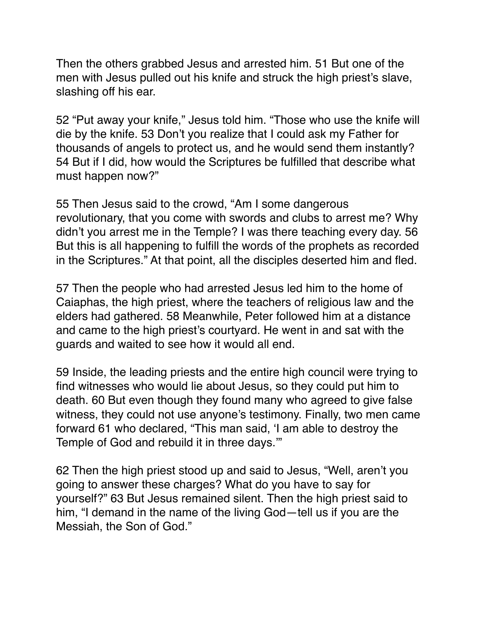Then the others grabbed Jesus and arrested him. 51 But one of the men with Jesus pulled out his knife and struck the high priest's slave, slashing off his ear.

52 "Put away your knife," Jesus told him. "Those who use the knife will die by the knife. 53 Don't you realize that I could ask my Father for thousands of angels to protect us, and he would send them instantly? 54 But if I did, how would the Scriptures be fulfilled that describe what must happen now?"

55 Then Jesus said to the crowd, "Am I some dangerous revolutionary, that you come with swords and clubs to arrest me? Why didn't you arrest me in the Temple? I was there teaching every day. 56 But this is all happening to fulfill the words of the prophets as recorded in the Scriptures." At that point, all the disciples deserted him and fled.

57 Then the people who had arrested Jesus led him to the home of Caiaphas, the high priest, where the teachers of religious law and the elders had gathered. 58 Meanwhile, Peter followed him at a distance and came to the high priest's courtyard. He went in and sat with the guards and waited to see how it would all end.

59 Inside, the leading priests and the entire high council were trying to find witnesses who would lie about Jesus, so they could put him to death. 60 But even though they found many who agreed to give false witness, they could not use anyone's testimony. Finally, two men came forward 61 who declared, "This man said, 'I am able to destroy the Temple of God and rebuild it in three days.'"

62 Then the high priest stood up and said to Jesus, "Well, aren't you going to answer these charges? What do you have to say for yourself?" 63 But Jesus remained silent. Then the high priest said to him, "I demand in the name of the living God—tell us if you are the Messiah, the Son of God."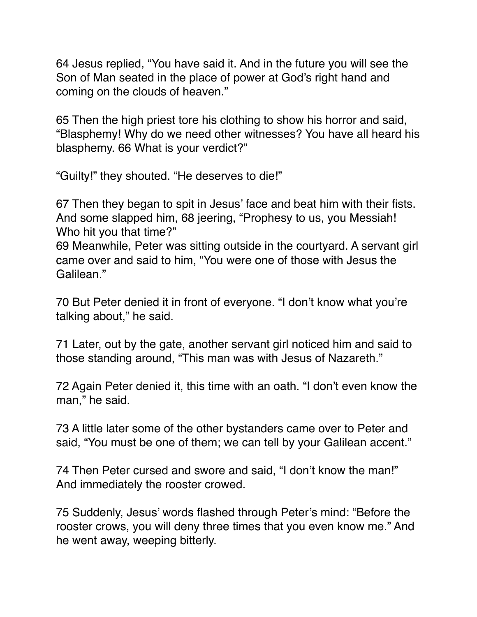64 Jesus replied, "You have said it. And in the future you will see the Son of Man seated in the place of power at God's right hand and coming on the clouds of heaven."

65 Then the high priest tore his clothing to show his horror and said, "Blasphemy! Why do we need other witnesses? You have all heard his blasphemy. 66 What is your verdict?"

"Guilty!" they shouted. "He deserves to die!"

67 Then they began to spit in Jesus' face and beat him with their fists. And some slapped him, 68 jeering, "Prophesy to us, you Messiah! Who hit you that time?"

69 Meanwhile, Peter was sitting outside in the courtyard. A servant girl came over and said to him, "You were one of those with Jesus the Galilean."

70 But Peter denied it in front of everyone. "I don't know what you're talking about," he said.

71 Later, out by the gate, another servant girl noticed him and said to those standing around, "This man was with Jesus of Nazareth."

72 Again Peter denied it, this time with an oath. "I don't even know the man," he said.

73 A little later some of the other bystanders came over to Peter and said, "You must be one of them; we can tell by your Galilean accent."

74 Then Peter cursed and swore and said, "I don't know the man!" And immediately the rooster crowed.

75 Suddenly, Jesus' words flashed through Peter's mind: "Before the rooster crows, you will deny three times that you even know me." And he went away, weeping bitterly.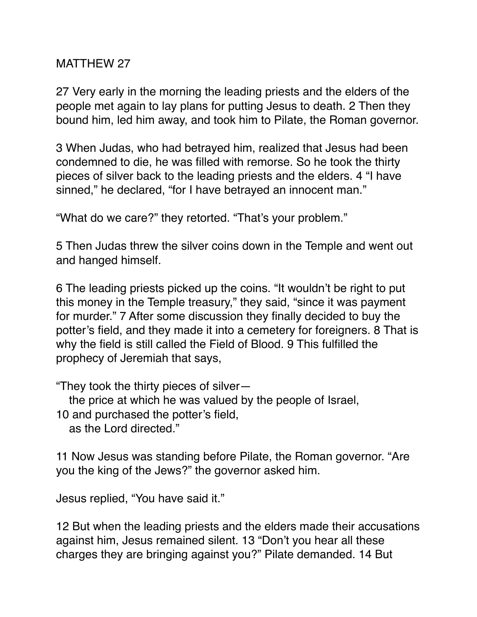## MATTHEW 27

27 Very early in the morning the leading priests and the elders of the people met again to lay plans for putting Jesus to death. 2 Then they bound him, led him away, and took him to Pilate, the Roman governor.

3 When Judas, who had betrayed him, realized that Jesus had been condemned to die, he was filled with remorse. So he took the thirty pieces of silver back to the leading priests and the elders. 4 "I have sinned," he declared, "for I have betrayed an innocent man."

"What do we care?" they retorted. "That's your problem."

5 Then Judas threw the silver coins down in the Temple and went out and hanged himself.

6 The leading priests picked up the coins. "It wouldn't be right to put this money in the Temple treasury," they said, "since it was payment for murder." 7 After some discussion they finally decided to buy the potter's field, and they made it into a cemetery for foreigners. 8 That is why the field is still called the Field of Blood. 9 This fulfilled the prophecy of Jeremiah that says,

"They took the thirty pieces of silver—

the price at which he was valued by the people of Israel,

10 and purchased the potter's field,

as the Lord directed."

11 Now Jesus was standing before Pilate, the Roman governor. "Are you the king of the Jews?" the governor asked him.

Jesus replied, "You have said it."

12 But when the leading priests and the elders made their accusations against him, Jesus remained silent. 13 "Don't you hear all these charges they are bringing against you?" Pilate demanded. 14 But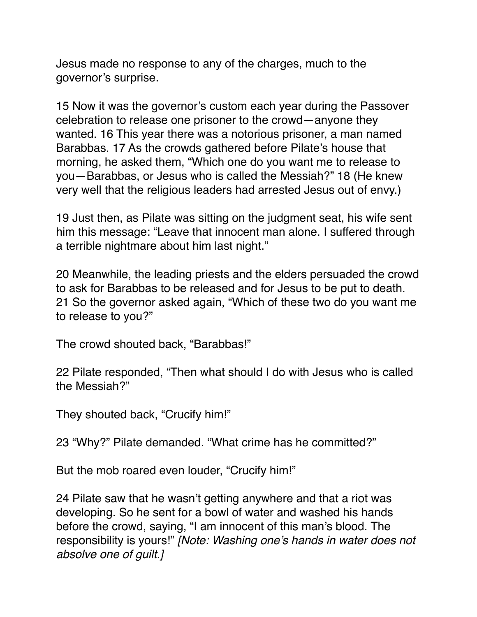Jesus made no response to any of the charges, much to the governor's surprise.

15 Now it was the governor's custom each year during the Passover celebration to release one prisoner to the crowd—anyone they wanted. 16 This year there was a notorious prisoner, a man named Barabbas. 17 As the crowds gathered before Pilate's house that morning, he asked them, "Which one do you want me to release to you—Barabbas, or Jesus who is called the Messiah?" 18 (He knew very well that the religious leaders had arrested Jesus out of envy.)

19 Just then, as Pilate was sitting on the judgment seat, his wife sent him this message: "Leave that innocent man alone. I suffered through a terrible nightmare about him last night."

20 Meanwhile, the leading priests and the elders persuaded the crowd to ask for Barabbas to be released and for Jesus to be put to death. 21 So the governor asked again, "Which of these two do you want me to release to you?"

The crowd shouted back, "Barabbas!"

22 Pilate responded, "Then what should I do with Jesus who is called the Messiah?"

They shouted back, "Crucify him!"

23 "Why?" Pilate demanded. "What crime has he committed?"

But the mob roared even louder, "Crucify him!"

24 Pilate saw that he wasn't getting anywhere and that a riot was developing. So he sent for a bowl of water and washed his hands before the crowd, saying, "I am innocent of this man's blood. The responsibility is yours!" *[Note: Washing one's hands in water does not absolve one of guilt.]*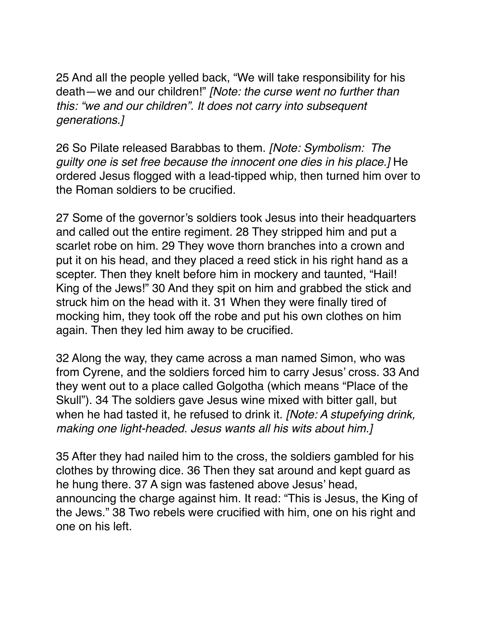25 And all the people yelled back, "We will take responsibility for his death—we and our children!" *[Note: the curse went no further than this: "we and our children". It does not carry into subsequent generations.]*

26 So Pilate released Barabbas to them. *[Note: Symbolism: The guilty one is set free because the innocent one dies in his place.]* He ordered Jesus flogged with a lead-tipped whip, then turned him over to the Roman soldiers to be crucified.

27 Some of the governor's soldiers took Jesus into their headquarters and called out the entire regiment. 28 They stripped him and put a scarlet robe on him. 29 They wove thorn branches into a crown and put it on his head, and they placed a reed stick in his right hand as a scepter. Then they knelt before him in mockery and taunted, "Hail! King of the Jews!" 30 And they spit on him and grabbed the stick and struck him on the head with it. 31 When they were finally tired of mocking him, they took off the robe and put his own clothes on him again. Then they led him away to be crucified.

32 Along the way, they came across a man named Simon, who was from Cyrene, and the soldiers forced him to carry Jesus' cross. 33 And they went out to a place called Golgotha (which means "Place of the Skull"). 34 The soldiers gave Jesus wine mixed with bitter gall, but when he had tasted it, he refused to drink it. *[Note: A stupefying drink, making one light-headed. Jesus wants all his wits about him.]*

35 After they had nailed him to the cross, the soldiers gambled for his clothes by throwing dice. 36 Then they sat around and kept guard as he hung there. 37 A sign was fastened above Jesus' head, announcing the charge against him. It read: "This is Jesus, the King of the Jews." 38 Two rebels were crucified with him, one on his right and one on his left.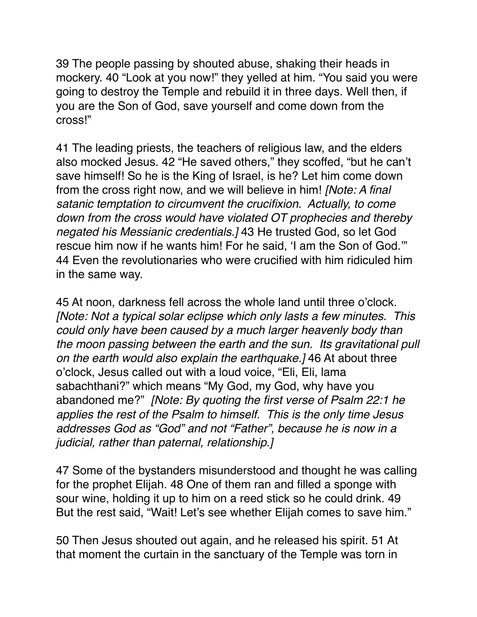39 The people passing by shouted abuse, shaking their heads in mockery. 40 "Look at you now!" they yelled at him. "You said you were going to destroy the Temple and rebuild it in three days. Well then, if you are the Son of God, save yourself and come down from the cross!"

41 The leading priests, the teachers of religious law, and the elders also mocked Jesus. 42 "He saved others," they scoffed, "but he can't save himself! So he is the King of Israel, is he? Let him come down from the cross right now, and we will believe in him! *[Note: A final satanic temptation to circumvent the crucifixion. Actually, to come down from the cross would have violated OT prophecies and thereby negated his Messianic credentials.]* 43 He trusted God, so let God rescue him now if he wants him! For he said, 'I am the Son of God.'" 44 Even the revolutionaries who were crucified with him ridiculed him in the same way.

45 At noon, darkness fell across the whole land until three o'clock. *[Note: Not a typical solar eclipse which only lasts a few minutes. This could only have been caused by a much larger heavenly body than the moon passing between the earth and the sun. Its gravitational pull on the earth would also explain the earthquake.]* 46 At about three o'clock, Jesus called out with a loud voice, "Eli, Eli, lama sabachthani?" which means "My God, my God, why have you abandoned me?" *[Note: By quoting the first verse of Psalm 22:1 he applies the rest of the Psalm to himself. This is the only time Jesus addresses God as "God" and not "Father", because he is now in a judicial, rather than paternal, relationship.]*

47 Some of the bystanders misunderstood and thought he was calling for the prophet Elijah. 48 One of them ran and filled a sponge with sour wine, holding it up to him on a reed stick so he could drink. 49 But the rest said, "Wait! Let's see whether Elijah comes to save him."

50 Then Jesus shouted out again, and he released his spirit. 51 At that moment the curtain in the sanctuary of the Temple was torn in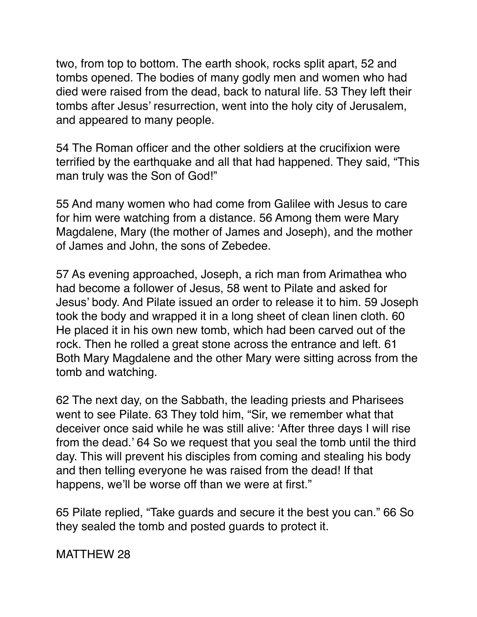two, from top to bottom. The earth shook, rocks split apart, 52 and tombs opened. The bodies of many godly men and women who had died were raised from the dead, back to natural life. 53 They left their tombs after Jesus' resurrection, went into the holy city of Jerusalem, and appeared to many people.

54 The Roman officer and the other soldiers at the crucifixion were terrified by the earthquake and all that had happened. They said, "This man truly was the Son of God!"

55 And many women who had come from Galilee with Jesus to care for him were watching from a distance. 56 Among them were Mary Magdalene, Mary (the mother of James and Joseph), and the mother of James and John, the sons of Zebedee.

57 As evening approached, Joseph, a rich man from Arimathea who had become a follower of Jesus, 58 went to Pilate and asked for Jesus' body. And Pilate issued an order to release it to him. 59 Joseph took the body and wrapped it in a long sheet of clean linen cloth. 60 He placed it in his own new tomb, which had been carved out of the rock. Then he rolled a great stone across the entrance and left. 61 Both Mary Magdalene and the other Mary were sitting across from the tomb and watching.

62 The next day, on the Sabbath, the leading priests and Pharisees went to see Pilate. 63 They told him, "Sir, we remember what that deceiver once said while he was still alive: 'After three days I will rise from the dead.' 64 So we request that you seal the tomb until the third day. This will prevent his disciples from coming and stealing his body and then telling everyone he was raised from the dead! If that happens, we'll be worse off than we were at first."

65 Pilate replied, "Take guards and secure it the best you can." 66 So they sealed the tomb and posted guards to protect it.

MATTHEW 28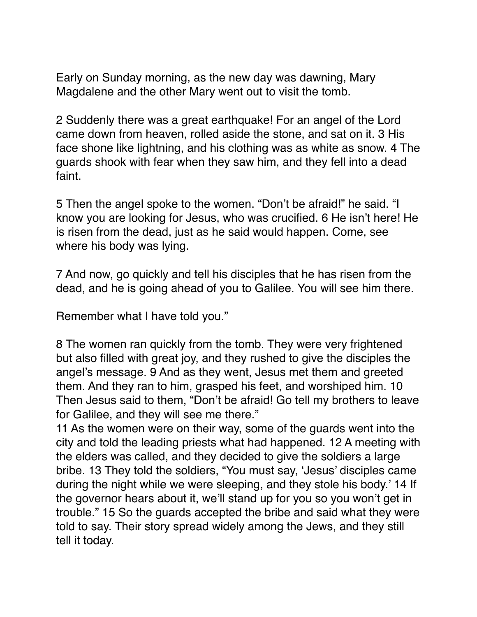Early on Sunday morning, as the new day was dawning, Mary Magdalene and the other Mary went out to visit the tomb.

2 Suddenly there was a great earthquake! For an angel of the Lord came down from heaven, rolled aside the stone, and sat on it. 3 His face shone like lightning, and his clothing was as white as snow. 4 The guards shook with fear when they saw him, and they fell into a dead faint.

5 Then the angel spoke to the women. "Don't be afraid!" he said. "I know you are looking for Jesus, who was crucified. 6 He isn't here! He is risen from the dead, just as he said would happen. Come, see where his body was lying.

7 And now, go quickly and tell his disciples that he has risen from the dead, and he is going ahead of you to Galilee. You will see him there.

Remember what I have told you."

8 The women ran quickly from the tomb. They were very frightened but also filled with great joy, and they rushed to give the disciples the angel's message. 9 And as they went, Jesus met them and greeted them. And they ran to him, grasped his feet, and worshiped him. 10 Then Jesus said to them, "Don't be afraid! Go tell my brothers to leave for Galilee, and they will see me there."

11 As the women were on their way, some of the guards went into the city and told the leading priests what had happened. 12 A meeting with the elders was called, and they decided to give the soldiers a large bribe. 13 They told the soldiers, "You must say, 'Jesus' disciples came during the night while we were sleeping, and they stole his body.' 14 If the governor hears about it, we'll stand up for you so you won't get in trouble." 15 So the guards accepted the bribe and said what they were told to say. Their story spread widely among the Jews, and they still tell it today.